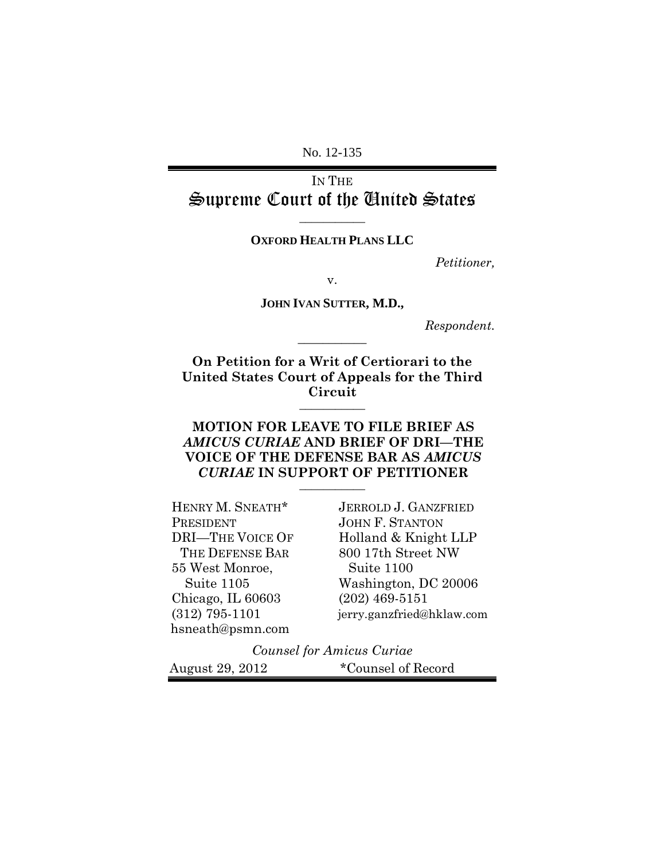No. 12-135

IN THE Supreme Court of the United States

**\_\_\_\_\_\_\_\_\_\_\_**

## **OXFORD HEALTH PLANS LLC**

*Petitioner,*

v.

**JOHN IVAN SUTTER, M.D.,**

**\_\_\_\_\_\_\_\_\_\_\_**

*Respondent.*

**On Petition for a Writ of Certiorari to the United States Court of Appeals for the Third Circuit \_\_\_\_\_\_\_\_\_\_\_**

## **MOTION FOR LEAVE TO FILE BRIEF AS**  *AMICUS CURIAE* **AND BRIEF OF DRI—THE VOICE OF THE DEFENSE BAR AS** *AMICUS CURIAE* **IN SUPPORT OF PETITIONER \_\_\_\_\_\_\_\_\_\_\_**

| HENRY M. SNEATH*        | <b>JERROLD J. GANZFRIED</b> |
|-------------------------|-----------------------------|
| PRESIDENT               | <b>JOHN F. STANTON</b>      |
| <b>DRI-THE VOICE OF</b> | Holland & Knight LLP        |
| THE DEFENSE BAR         | 800 17th Street NW          |
| 55 West Monroe,         | Suite 1100                  |
| Suite 1105              | Washington, DC 20006        |
| Chicago, IL 60603       | $(202)$ 469-5151            |
| $(312)$ 795-1101        | jerry.ganzfried@hklaw.com   |
| hsneath@psmn.com        |                             |

*Counsel for Amicus Curiae*

August 29, 2012 \*Counsel of Record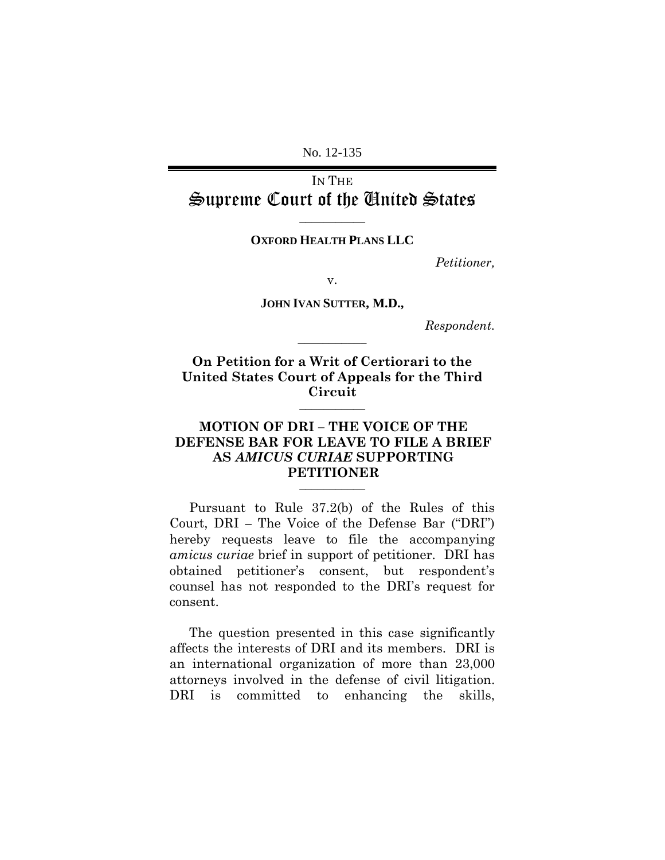No. 12-135

IN THE Supreme Court of the United States

**OXFORD HEALTH PLANS LLC**

**\_\_\_\_\_\_\_\_\_\_\_**

*Petitioner,*

v.

**JOHN IVAN SUTTER, M.D.,**

**\_\_\_\_\_\_\_\_\_\_\_**

*Respondent.*

**On Petition for a Writ of Certiorari to the United States Court of Appeals for the Third Circuit \_\_\_\_\_\_\_\_\_\_\_**

## **MOTION OF DRI – THE VOICE OF THE DEFENSE BAR FOR LEAVE TO FILE A BRIEF AS** *AMICUS CURIAE* **SUPPORTING PETITIONER \_\_\_\_\_\_\_\_\_\_\_**

Pursuant to Rule 37.2(b) of the Rules of this Court, DRI – The Voice of the Defense Bar ("DRI") hereby requests leave to file the accompanying *amicus curiae* brief in support of petitioner. DRI has obtained petitioner's consent, but respondent's counsel has not responded to the DRI's request for consent.

The question presented in this case significantly affects the interests of DRI and its members. DRI is an international organization of more than 23,000 attorneys involved in the defense of civil litigation. DRI is committed to enhancing the skills,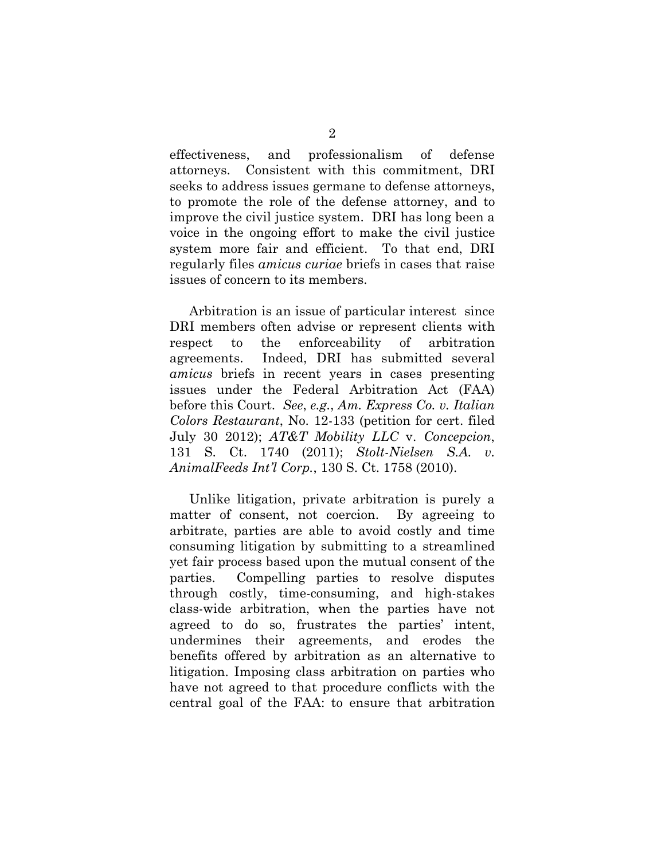effectiveness, and professionalism of defense attorneys. Consistent with this commitment, DRI seeks to address issues germane to defense attorneys, to promote the role of the defense attorney, and to improve the civil justice system. DRI has long been a voice in the ongoing effort to make the civil justice system more fair and efficient. To that end, DRI regularly files *amicus curiae* briefs in cases that raise issues of concern to its members.

Arbitration is an issue of particular interest since DRI members often advise or represent clients with respect to the enforceability of arbitration agreements. Indeed, DRI has submitted several *amicus* briefs in recent years in cases presenting issues under the Federal Arbitration Act (FAA) before this Court. *See*, *e.g.*, *Am. Express Co. v. Italian Colors Restaurant*, No. 12-133 (petition for cert. filed July 30 2012); *AT&T Mobility LLC* v. *Concepcion*, 131 S. Ct. 1740 (2011); *Stolt-Nielsen S.A. v. AnimalFeeds Int'l Corp.*, 130 S. Ct. 1758 (2010).

Unlike litigation, private arbitration is purely a matter of consent, not coercion. By agreeing to arbitrate, parties are able to avoid costly and time consuming litigation by submitting to a streamlined yet fair process based upon the mutual consent of the parties. Compelling parties to resolve disputes through costly, time-consuming, and high-stakes class-wide arbitration, when the parties have not agreed to do so, frustrates the parties' intent, undermines their agreements, and erodes the benefits offered by arbitration as an alternative to litigation. Imposing class arbitration on parties who have not agreed to that procedure conflicts with the central goal of the FAA: to ensure that arbitration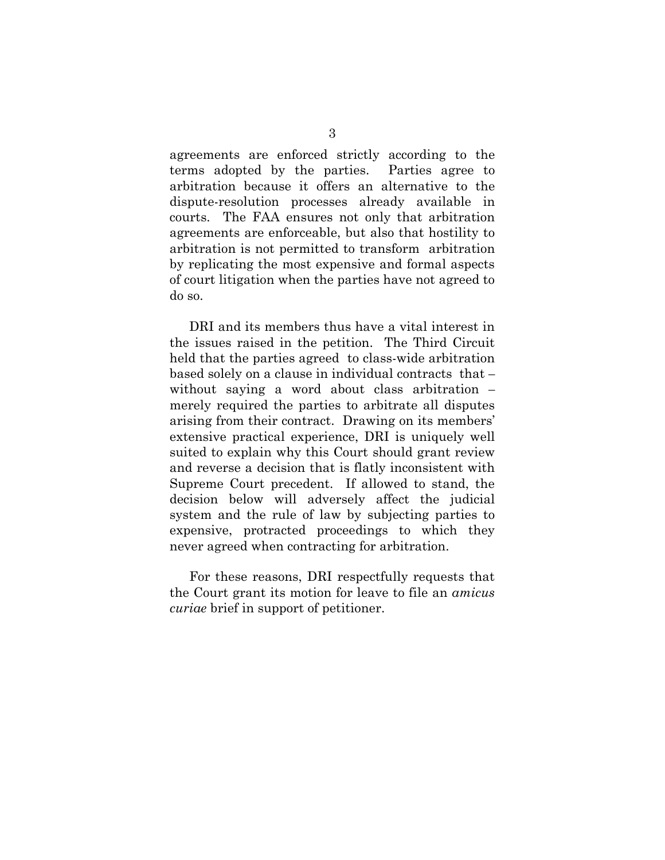agreements are enforced strictly according to the terms adopted by the parties. Parties agree to arbitration because it offers an alternative to the dispute-resolution processes already available in courts. The FAA ensures not only that arbitration agreements are enforceable, but also that hostility to arbitration is not permitted to transform arbitration by replicating the most expensive and formal aspects of court litigation when the parties have not agreed to do so.

DRI and its members thus have a vital interest in the issues raised in the petition. The Third Circuit held that the parties agreed to class-wide arbitration based solely on a clause in individual contracts that – without saying a word about class arbitration – merely required the parties to arbitrate all disputes arising from their contract. Drawing on its members' extensive practical experience, DRI is uniquely well suited to explain why this Court should grant review and reverse a decision that is flatly inconsistent with Supreme Court precedent. If allowed to stand, the decision below will adversely affect the judicial system and the rule of law by subjecting parties to expensive, protracted proceedings to which they never agreed when contracting for arbitration.

For these reasons, DRI respectfully requests that the Court grant its motion for leave to file an *amicus curiae* brief in support of petitioner.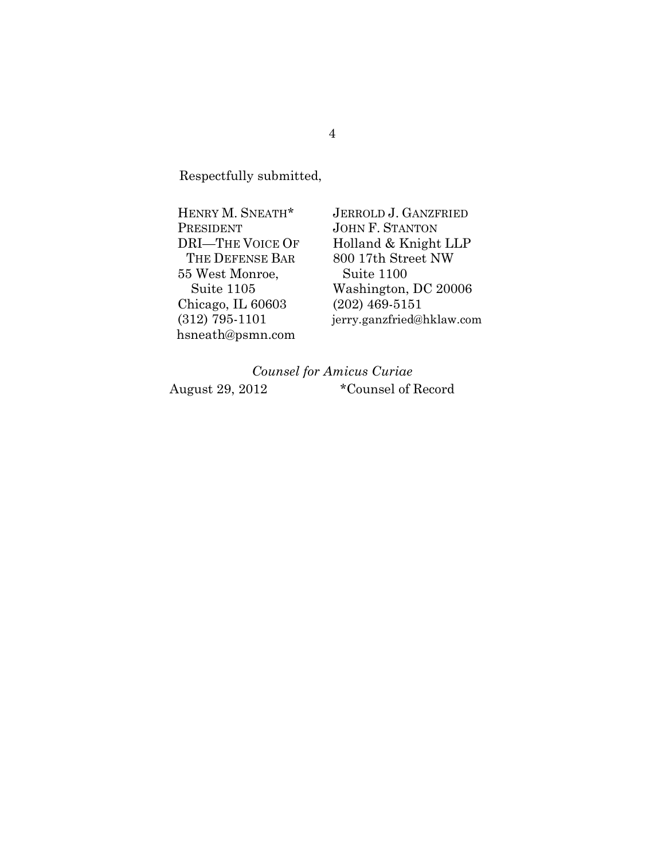Respectfully submitted,

HENRY M. SNEATH\* PRESIDENT DRI—THE VOICE OF THE DEFENSE BAR 55 West Monroe, Suite 1105 Chicago, IL 60603 (312) 795-1101 hsneath@psmn.com

JERROLD J. GANZFRIED JOHN F. STANTON Holland & Knight LLP 800 17th Street NW Suite 1100 Washington, DC 20006 (202) 469-5151 jerry.ganzfried@hklaw.com

# *Counsel for Amicus Curiae* August 29, 2012 \*Counsel of Record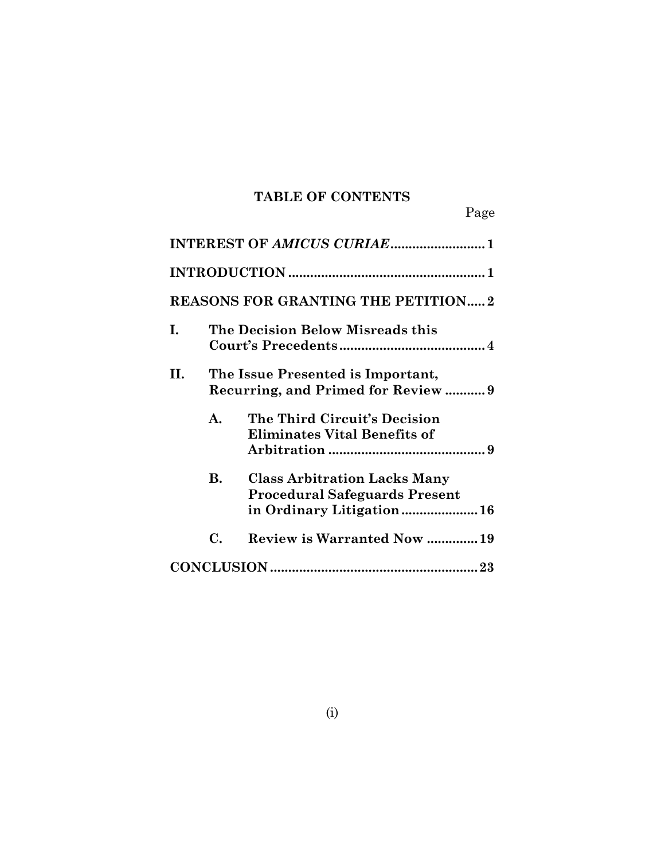# **TABLE OF CONTENTS**

Page

|    |                                                                        | <b>REASONS FOR GRANTING THE PETITION2</b>                                                               |
|----|------------------------------------------------------------------------|---------------------------------------------------------------------------------------------------------|
| Ι. | The Decision Below Misreads this                                       |                                                                                                         |
| Н. | The Issue Presented is Important,<br>Recurring, and Primed for Review9 |                                                                                                         |
|    | A.                                                                     | The Third Circuit's Decision<br><b>Eliminates Vital Benefits of</b>                                     |
|    | В.                                                                     | <b>Class Arbitration Lacks Many</b><br><b>Procedural Safeguards Present</b><br>in Ordinary Litigation16 |
|    | C.                                                                     | <b>Review is Warranted Now 19</b>                                                                       |
|    |                                                                        |                                                                                                         |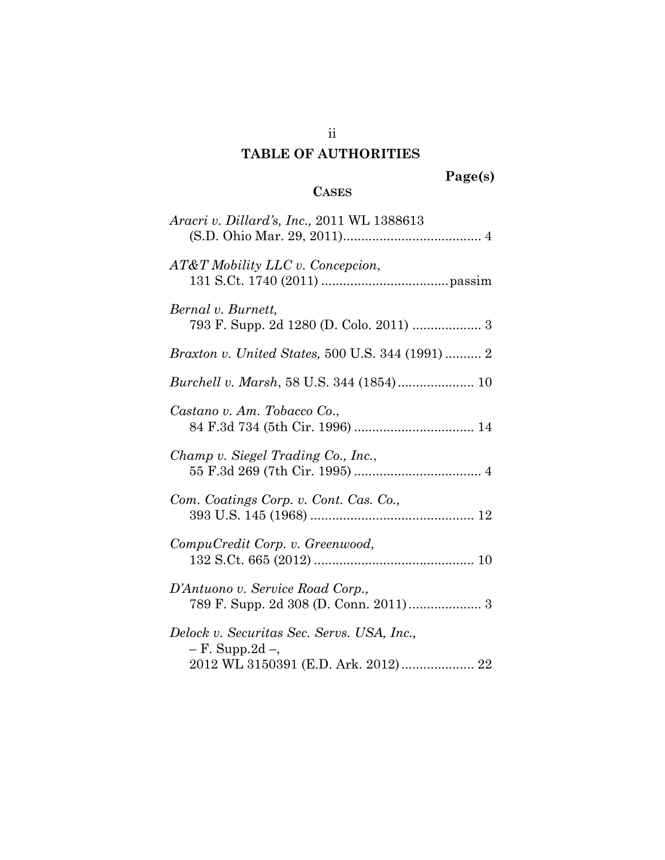# **TABLE OF AUTHORITIES**

# **CASES**

| <i>Aracri v. Dillard's, Inc., 2011 WL 1388613</i>                                                         |
|-----------------------------------------------------------------------------------------------------------|
| AT&T Mobility LLC v. Concepcion,                                                                          |
| Bernal v. Burnett,<br>793 F. Supp. 2d 1280 (D. Colo. 2011)  3                                             |
| <i>Braxton v. United States, 500 U.S. 344 (1991)  2</i>                                                   |
| Burchell v. Marsh, 58 U.S. 344 (1854) 10                                                                  |
| Castano v. Am. Tobacco Co.,                                                                               |
| Champ v. Siegel Trading Co., Inc.,                                                                        |
| Com. Coatings Corp. v. Cont. Cas. Co.,                                                                    |
| CompuCredit Corp. v. Greenwood,                                                                           |
| D'Antuono v. Service Road Corp.,<br>789 F. Supp. 2d 308 (D. Conn. 2011) 3                                 |
| Delock v. Securitas Sec. Servs. USA, Inc.,<br>$- F.$ Supp.2d $-$ ,<br>2012 WL 3150391 (E.D. Ark. 2012) 22 |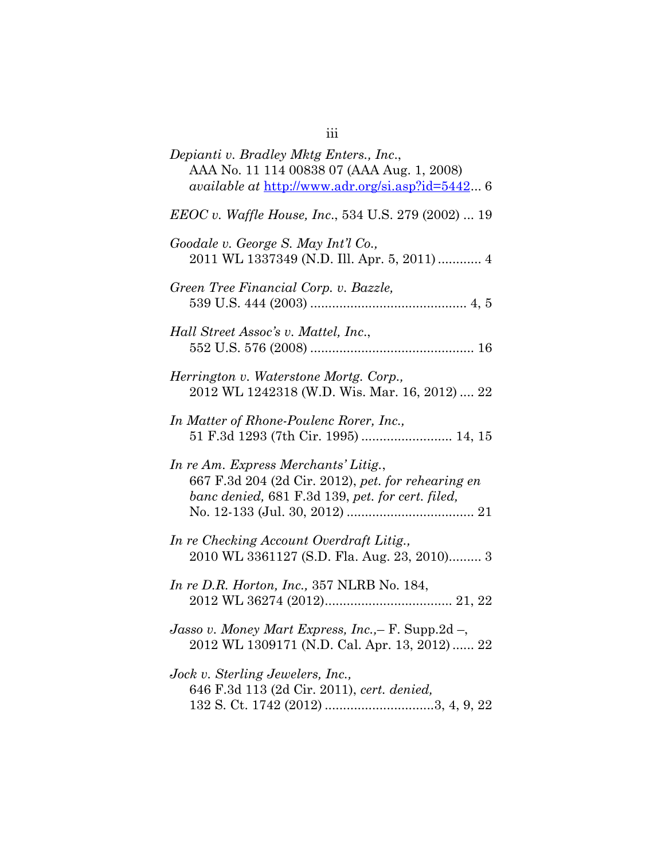| Depianti v. Bradley Mktg Enters., Inc.,<br>AAA No. 11 114 00838 07 (AAA Aug. 1, 2008)<br><i>available at http://www.adr.org/si.asp?id=5442</i> 6 |
|--------------------------------------------------------------------------------------------------------------------------------------------------|
| <i>EEOC v. Waffle House, Inc.,</i> 534 U.S. 279 (2002)  19                                                                                       |
| Goodale v. George S. May Int'l Co.,<br>2011 WL 1337349 (N.D. Ill. Apr. 5, 2011) 4                                                                |
| Green Tree Financial Corp. v. Bazzle,                                                                                                            |
| Hall Street Assoc's v. Mattel, Inc.,                                                                                                             |
| Herrington v. Waterstone Mortg. Corp.,<br>2012 WL 1242318 (W.D. Wis. Mar. 16, 2012)  22                                                          |
| In Matter of Rhone-Poulenc Rorer, Inc.,<br>51 F.3d 1293 (7th Cir. 1995)  14, 15                                                                  |
| In re Am. Express Merchants' Litig.,<br>667 F.3d 204 (2d Cir. 2012), pet. for rehearing en<br>banc denied, 681 F.3d 139, pet. for cert. filed,   |
| In re Checking Account Overdraft Litig.,<br>2010 WL 3361127 (S.D. Fla. Aug. 23, 2010) 3                                                          |
| In re D.R. Horton, Inc., 357 NLRB No. 184,                                                                                                       |
| Jasso v. Money Mart Express, Inc.,- F. Supp.2d-,<br>2012 WL 1309171 (N.D. Cal. Apr. 13, 2012) 22                                                 |
| Jock v. Sterling Jewelers, Inc.,<br>646 F.3d 113 (2d Cir. 2011), cert. denied,                                                                   |

iii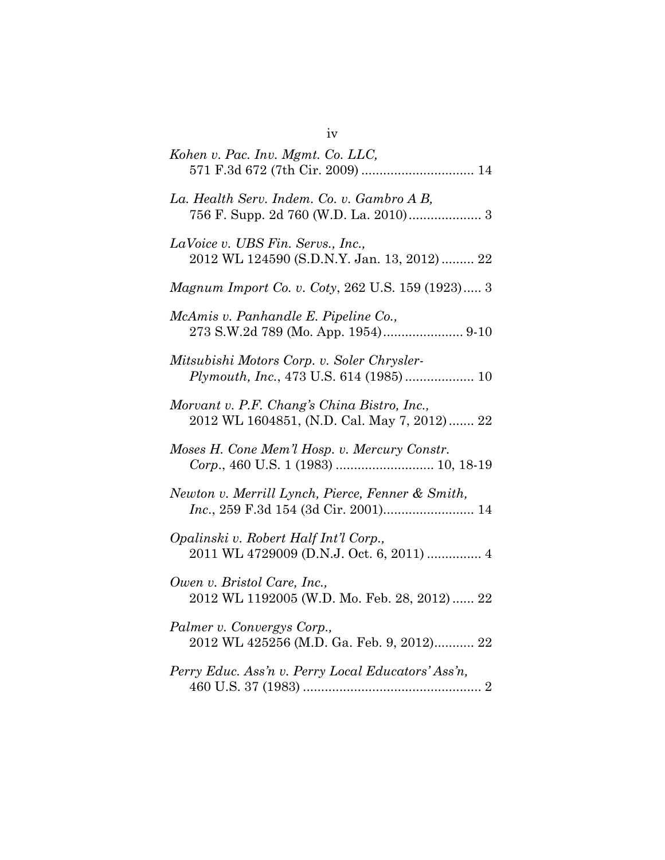| Kohen v. Pac. Inv. Mgmt. Co. LLC,                                                          |
|--------------------------------------------------------------------------------------------|
| La. Health Serv. Indem. Co. v. Gambro A B,<br>756 F. Supp. 2d 760 (W.D. La. 2010) 3        |
| LaVoice v. UBS Fin. Servs., Inc.,<br>2012 WL 124590 (S.D.N.Y. Jan. 13, 2012) 22            |
| Magnum Import Co. v. Coty, 262 U.S. 159 (1923) 3                                           |
| McAmis v. Panhandle E. Pipeline Co.,<br>273 S.W.2d 789 (Mo. App. 1954) 9-10                |
| Mitsubishi Motors Corp. v. Soler Chrysler-<br>Plymouth, Inc., 473 U.S. 614 (1985)  10      |
| Morvant v. P.F. Chang's China Bistro, Inc.,<br>2012 WL 1604851, (N.D. Cal. May 7, 2012) 22 |
| Moses H. Cone Mem'l Hosp. v. Mercury Constr.                                               |
| Newton v. Merrill Lynch, Pierce, Fenner & Smith,<br>Inc., 259 F.3d 154 (3d Cir. 2001) 14   |
| Opalinski v. Robert Half Int'l Corp.,<br>2011 WL 4729009 (D.N.J. Oct. 6, 2011)  4          |
| Owen v. Bristol Care, Inc.,<br>2012 WL 1192005 (W.D. Mo. Feb. 28, 2012)  22                |
| Palmer v. Convergys Corp.,<br>2012 WL 425256 (M.D. Ga. Feb. 9, 2012) 22                    |
| Perry Educ. Ass'n v. Perry Local Educators' Ass'n,                                         |

iv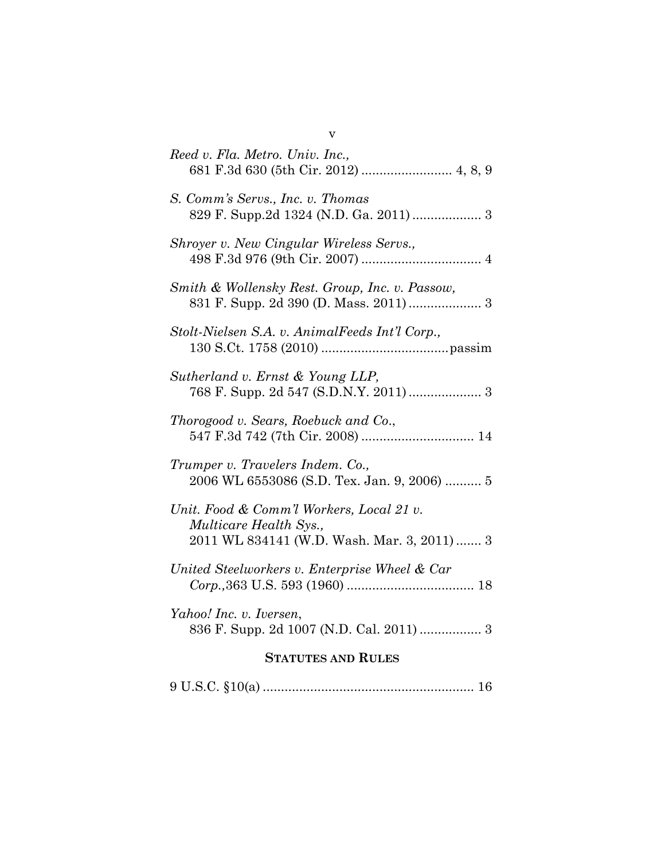| Reed v. Fla. Metro. Univ. Inc.,                                                                                          |  |
|--------------------------------------------------------------------------------------------------------------------------|--|
| S. Comm's Servs., Inc. v. Thomas<br>829 F. Supp.2d 1324 (N.D. Ga. 2011)  3                                               |  |
| Shroyer v. New Cingular Wireless Servs.,                                                                                 |  |
| Smith & Wollensky Rest. Group, Inc. v. Passow,<br>831 F. Supp. 2d 390 (D. Mass. 2011)  3                                 |  |
| Stolt-Nielsen S.A. v. AnimalFeeds Int'l Corp.,                                                                           |  |
| Sutherland v. Ernst & Young LLP,                                                                                         |  |
| Thorogood v. Sears, Roebuck and Co.,                                                                                     |  |
| Trumper v. Travelers Indem. Co.,<br>2006 WL 6553086 (S.D. Tex. Jan. 9, 2006)  5                                          |  |
| Unit. Food & Comm'l Workers, Local 21 v.<br><i>Multicare Health Sys.,</i><br>2011 WL 834141 (W.D. Wash. Mar. 3, 2011)  3 |  |
| United Steelworkers v. Enterprise Wheel & Car                                                                            |  |
| Yahoo! Inc. v. Iversen,<br>836 F. Supp. 2d 1007 (N.D. Cal. 2011)  3                                                      |  |
| <b>STATUTES AND RULES</b>                                                                                                |  |
|                                                                                                                          |  |

v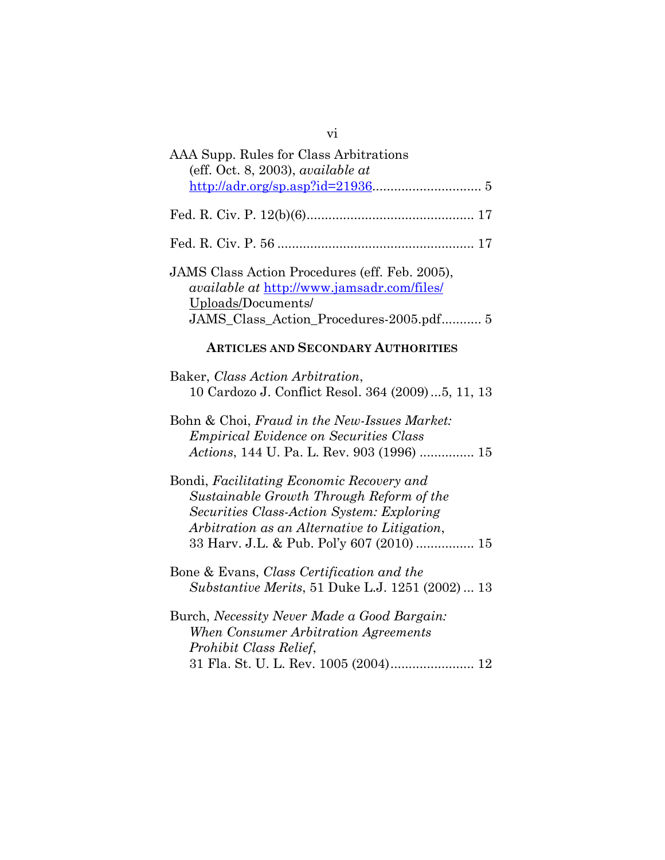| AAA Supp. Rules for Class Arbitrations<br>(eff. Oct. 8, 2003), available at<br>$\frac{\text{http://adr.org/sp.asp?id=21936}}{5}$                                                                                                |  |  |
|---------------------------------------------------------------------------------------------------------------------------------------------------------------------------------------------------------------------------------|--|--|
|                                                                                                                                                                                                                                 |  |  |
|                                                                                                                                                                                                                                 |  |  |
| JAMS Class Action Procedures (eff. Feb. 2005),<br><i>available at http://www.jamsadr.com/files/</i><br>Uploads/Documents/<br>JAMS_Class_Action_Procedures-2005.pdf 5                                                            |  |  |
| <b>ARTICLES AND SECONDARY AUTHORITIES</b>                                                                                                                                                                                       |  |  |
| Baker, Class Action Arbitration,<br>10 Cardozo J. Conflict Resol. 364 (2009)5, 11, 13                                                                                                                                           |  |  |
| Bohn & Choi, Fraud in the New-Issues Market:<br><b>Empirical Evidence on Securities Class</b><br>Actions, 144 U. Pa. L. Rev. 903 (1996)  15                                                                                     |  |  |
| Bondi, Facilitating Economic Recovery and<br>Sustainable Growth Through Reform of the<br>Securities Class-Action System: Exploring<br>Arbitration as an Alternative to Litigation,<br>33 Harv. J.L. & Pub. Pol'y 607 (2010)  15 |  |  |
| Bone & Evans, Class Certification and the<br>Substantive Merits, 51 Duke L.J. 1251 (2002)  13                                                                                                                                   |  |  |
| Burch, Necessity Never Made a Good Bargain:<br>When Consumer Arbitration Agreements<br>Prohibit Class Relief,                                                                                                                   |  |  |

vi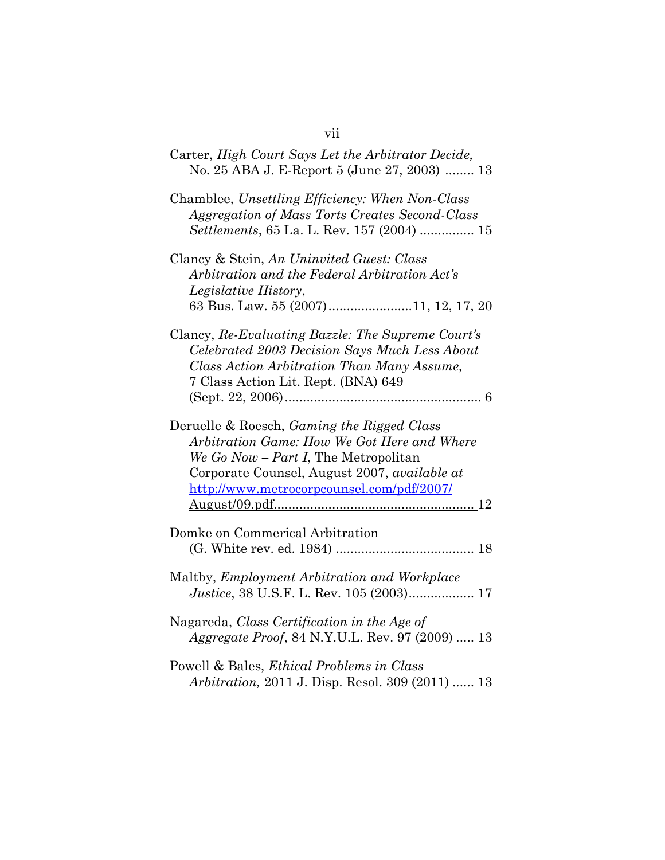| Carter, High Court Says Let the Arbitrator Decide,<br>No. 25 ABA J. E-Report 5 (June 27, 2003)  13                                                                                                                                    |  |  |
|---------------------------------------------------------------------------------------------------------------------------------------------------------------------------------------------------------------------------------------|--|--|
| Chamblee, Unsettling Efficiency: When Non-Class<br>Aggregation of Mass Torts Creates Second-Class<br>Settlements, 65 La. L. Rev. 157 (2004)  15                                                                                       |  |  |
| Clancy & Stein, An Uninvited Guest: Class                                                                                                                                                                                             |  |  |
| Arbitration and the Federal Arbitration Act's                                                                                                                                                                                         |  |  |
| Legislative History,                                                                                                                                                                                                                  |  |  |
| 63 Bus. Law. 55 (2007)11, 12, 17, 20                                                                                                                                                                                                  |  |  |
| Clancy, Re-Evaluating Bazzle: The Supreme Court's<br>Celebrated 2003 Decision Says Much Less About<br>Class Action Arbitration Than Many Assume,                                                                                      |  |  |
| 7 Class Action Lit. Rept. (BNA) 649                                                                                                                                                                                                   |  |  |
|                                                                                                                                                                                                                                       |  |  |
| Deruelle & Roesch, Gaming the Rigged Class<br>Arbitration Game: How We Got Here and Where<br>We Go Now - Part I, The Metropolitan<br>Corporate Counsel, August 2007, <i>available at</i><br>http://www.metrocorpcounsel.com/pdf/2007/ |  |  |
| Domke on Commerical Arbitration                                                                                                                                                                                                       |  |  |
| Maltby, Employment Arbitration and Workplace<br><i>Justice</i> , 38 U.S.F. L. Rev. 105 (2003) 17                                                                                                                                      |  |  |
| Nagareda, Class Certification in the Age of<br><i>Aggregate Proof, 84 N.Y.U.L. Rev. 97 (2009)  13</i>                                                                                                                                 |  |  |
| Powell & Bales, Ethical Problems in Class<br>Arbitration, 2011 J. Disp. Resol. 309 (2011)  13                                                                                                                                         |  |  |

vii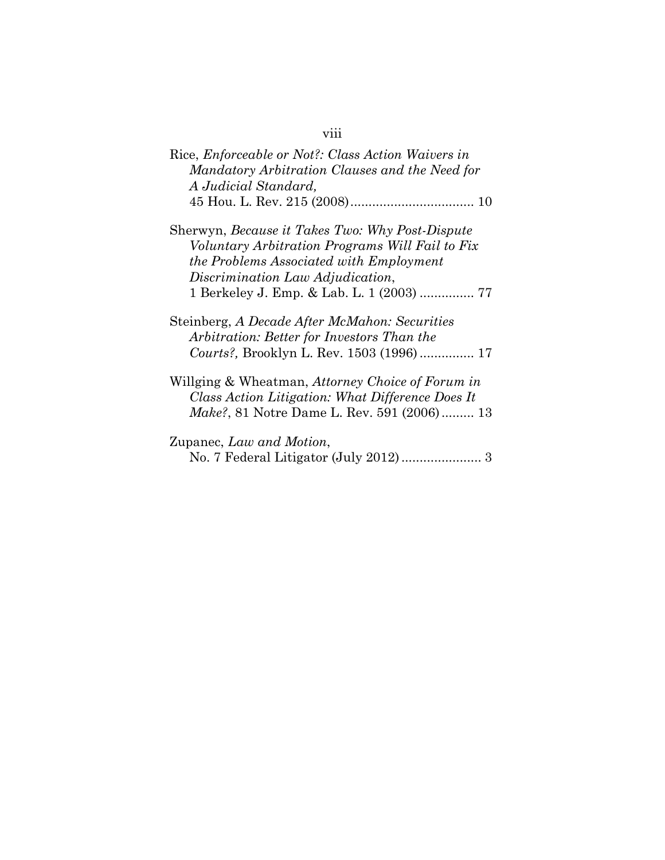# viii

| Rice, <i>Enforceable or Not?: Class Action Waivers in</i><br>Mandatory Arbitration Clauses and the Need for<br>A Judicial Standard,                                                                                                   |
|---------------------------------------------------------------------------------------------------------------------------------------------------------------------------------------------------------------------------------------|
|                                                                                                                                                                                                                                       |
| Sherwyn, <i>Because it Takes Two: Why Post-Dispute</i><br>Voluntary Arbitration Programs Will Fail to Fix<br>the Problems Associated with Employment<br>Discrimination Law Adjudication,<br>1 Berkeley J. Emp. & Lab. L. 1 (2003)  77 |
| Steinberg, A Decade After McMahon: Securities<br>Arbitration: Better for Investors Than the<br>Courts?, Brooklyn L. Rev. 1503 (1996) 17                                                                                               |
| Willging & Wheatman, Attorney Choice of Forum in<br>Class Action Litigation: What Difference Does It<br><i>Make?</i> , 81 Notre Dame L. Rev. 591 (2006) 13                                                                            |
| Zupanec, Law and Motion,                                                                                                                                                                                                              |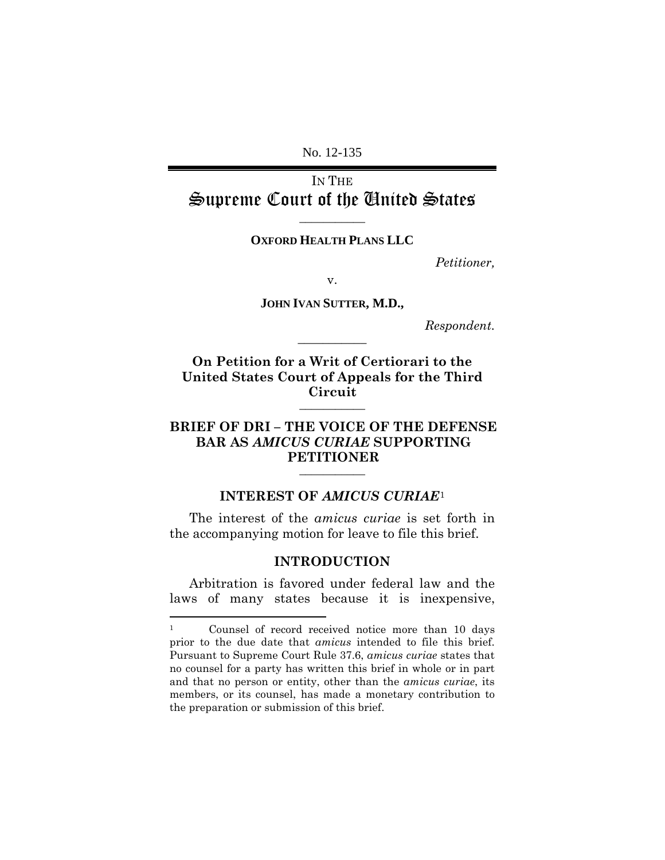No. 12-135

IN THE Supreme Court of the United States

**OXFORD HEALTH PLANS LLC**

**\_\_\_\_\_\_\_\_\_\_\_**

*Petitioner,*

v.

**JOHN IVAN SUTTER, M.D.,**

**\_\_\_\_\_\_\_\_\_\_\_**

*Respondent.*

**On Petition for a Writ of Certiorari to the United States Court of Appeals for the Third Circuit \_\_\_\_\_\_\_\_\_\_\_**

# **BRIEF OF DRI – THE VOICE OF THE DEFENSE BAR AS** *AMICUS CURIAE* **SUPPORTING PETITIONER \_\_\_\_\_\_\_\_\_\_\_**

#### **INTEREST OF** *AMICUS CURIAE*[1](#page-13-2)

<span id="page-13-1"></span><span id="page-13-0"></span>The interest of the *amicus curiae* is set forth in the accompanying motion for leave to file this brief.

#### **INTRODUCTION**

Arbitration is favored under federal law and the laws of many states because it is inexpensive,

<span id="page-13-2"></span> <sup>1</sup> Counsel of record received notice more than 10 days prior to the due date that *amicus* intended to file this brief. Pursuant to Supreme Court Rule 37.6, *amicus curiae* states that no counsel for a party has written this brief in whole or in part and that no person or entity, other than the *amicus curiae*, its members, or its counsel, has made a monetary contribution to the preparation or submission of this brief.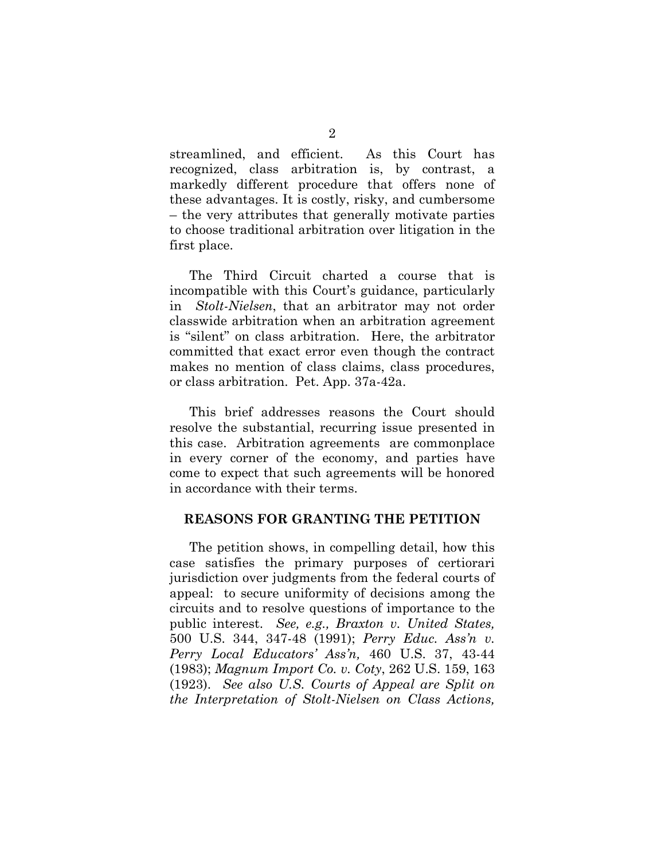streamlined, and efficient. As this Court has recognized, class arbitration is, by contrast, a markedly different procedure that offers none of these advantages. It is costly, risky, and cumbersome – the very attributes that generally motivate parties to choose traditional arbitration over litigation in the first place.

The Third Circuit charted a course that is incompatible with this Court's guidance, particularly in *Stolt-Nielsen*, that an arbitrator may not order classwide arbitration when an arbitration agreement is "silent" on class arbitration. Here, the arbitrator committed that exact error even though the contract makes no mention of class claims, class procedures, or class arbitration. Pet. App. 37a-42a.

This brief addresses reasons the Court should resolve the substantial, recurring issue presented in this case. Arbitration agreements are commonplace in every corner of the economy, and parties have come to expect that such agreements will be honored in accordance with their terms.

#### <span id="page-14-0"></span>**REASONS FOR GRANTING THE PETITION**

The petition shows, in compelling detail, how this case satisfies the primary purposes of certiorari jurisdiction over judgments from the federal courts of appeal: to secure uniformity of decisions among the circuits and to resolve questions of importance to the public interest. *See, e.g., Braxton v. United States,* 500 U.S. 344, 347-48 (1991); *Perry Educ. Ass'n v. Perry Local Educators' Ass'n,* 460 U.S. 37, 43-44 (1983); *Magnum Import Co. v. Coty*, 262 U.S. 159, 163 (1923). *See also U.S. Courts of Appeal are Split on the Interpretation of Stolt-Nielsen on Class Actions,*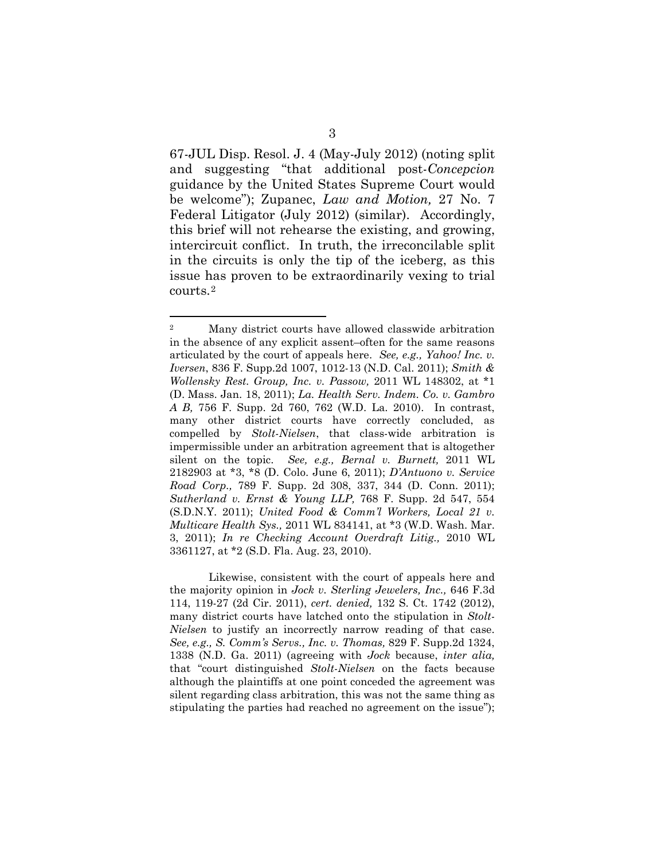67-JUL Disp. Resol. J. 4 (May-July 2012) (noting split and suggesting "that additional post-*Concepcion* guidance by the United States Supreme Court would be welcome"); Zupanec, *Law and Motion,* 27 No. 7 Federal Litigator (July 2012) (similar). Accordingly, this brief will not rehearse the existing, and growing, intercircuit conflict. In truth, the irreconcilable split in the circuits is only the tip of the iceberg, as this issue has proven to be extraordinarily vexing to trial courts.[2](#page-15-0)

Likewise, consistent with the court of appeals here and the majority opinion in *Jock v. Sterling Jewelers, Inc.,* 646 F.3d 114, 119-27 (2d Cir. 2011), *cert. denied,* 132 S. Ct. 1742 (2012), many district courts have latched onto the stipulation in *Stolt-Nielsen* to justify an incorrectly narrow reading of that case. *See, e.g., S. Comm's Servs., Inc. v. Thomas,* 829 F. Supp.2d 1324, 1338 (N.D. Ga. 2011) (agreeing with *Jock* because, *inter alia,* that "court distinguished *Stolt-Nielsen* on the facts because although the plaintiffs at one point conceded the agreement was silent regarding class arbitration, this was not the same thing as stipulating the parties had reached no agreement on the issue");

<span id="page-15-0"></span> <sup>2</sup> Many district courts have allowed classwide arbitration in the absence of any explicit assent–often for the same reasons articulated by the court of appeals here. *See, e.g., [Yahoo! Inc. v.](https://web2.westlaw.com/find/default.wl?rs=WLW12.07&pbc=BC6E23F9&vr=2.0&docname=CIK(0001011006)&lvbp=T&rp=%2ffind%2fdefault.wl&sv=Split&fn=_top&findtype=l&mt=Westlaw&returnto=BusinessNameReturnTo&db=BC-COMPANYSRBD)  [Iversen](https://web2.westlaw.com/find/default.wl?rs=WLW12.07&pbc=BC6E23F9&vr=2.0&docname=CIK(0001011006)&lvbp=T&rp=%2ffind%2fdefault.wl&sv=Split&fn=_top&findtype=l&mt=Westlaw&returnto=BusinessNameReturnTo&db=BC-COMPANYSRBD)*, 836 F. Supp.2d 1007, 1012-13 (N.D. Cal. 2011); *[Smith &](http://www.westlaw.com/Find/Default.wl?rs=dfa1.0&vr=2.0&DB=0000999&FindType=Y&SerialNum=2024411571)  [Wollensky Rest. Group, Inc. v. Passow,](http://www.westlaw.com/Find/Default.wl?rs=dfa1.0&vr=2.0&DB=0000999&FindType=Y&SerialNum=2024411571)* [2011 WL 148302, at \\*1](http://www.westlaw.com/Find/Default.wl?rs=dfa1.0&vr=2.0&DB=0000999&FindType=Y&SerialNum=2024411571)  (D. Mass. Jan. 18, 2011); *[La. Health Serv. Indem. Co. v. Gambro](http://www.westlaw.com/Find/Default.wl?rs=dfa1.0&vr=2.0&DB=4637&FindType=Y&ReferencePositionType=S&SerialNum=2024207788&ReferencePosition=762)  [A B,](http://www.westlaw.com/Find/Default.wl?rs=dfa1.0&vr=2.0&DB=4637&FindType=Y&ReferencePositionType=S&SerialNum=2024207788&ReferencePosition=762)* [756 F. Supp. 2d 760, 762 \(W.D. La. 2010\).](http://www.westlaw.com/Find/Default.wl?rs=dfa1.0&vr=2.0&DB=4637&FindType=Y&ReferencePositionType=S&SerialNum=2024207788&ReferencePosition=762) In contrast, many other district courts have correctly concluded, as compelled by *Stolt-Nielsen*, that class-wide arbitration is impermissible under an arbitration agreement that is altogether silent on the topic. *See, e.g., [Bernal v. Burnett,](http://www.westlaw.com/Find/Default.wl?rs=dfa1.0&vr=2.0&DB=0000999&FindType=Y&SerialNum=2025411777)* [2011 WL](http://www.westlaw.com/Find/Default.wl?rs=dfa1.0&vr=2.0&DB=0000999&FindType=Y&SerialNum=2025411777)  2182903 at \*3, \*8 (D. Colo. June 6, 2011); *[D'Antuono v. Service](http://www.westlaw.com/Find/Default.wl?rs=dfa1.0&vr=2.0&DB=4637&FindType=Y&ReferencePositionType=S&SerialNum=2025407646&ReferencePosition=337)  [Road Corp.,](http://www.westlaw.com/Find/Default.wl?rs=dfa1.0&vr=2.0&DB=4637&FindType=Y&ReferencePositionType=S&SerialNum=2025407646&ReferencePosition=337)* [789 F. Supp. 2d 308, 337, 344 \(D. Conn. 2011\);](http://www.westlaw.com/Find/Default.wl?rs=dfa1.0&vr=2.0&DB=4637&FindType=Y&ReferencePositionType=S&SerialNum=2025407646&ReferencePosition=337) *[Sutherland v. Ernst & Young LLP,](http://www.westlaw.com/Find/Default.wl?rs=dfa1.0&vr=2.0&DB=4637&FindType=Y&ReferencePositionType=S&SerialNum=2024767154&ReferencePosition=554)* [768 F. Supp. 2d 547, 554](http://www.westlaw.com/Find/Default.wl?rs=dfa1.0&vr=2.0&DB=4637&FindType=Y&ReferencePositionType=S&SerialNum=2024767154&ReferencePosition=554)  (S.D.N.Y. 2011); *[United Food & Comm'l Workers, Local 21 v.](http://www.westlaw.com/Find/Default.wl?rs=dfa1.0&vr=2.0&DB=0000999&FindType=Y&SerialNum=2024765285)  [Multicare Health Sys.,](http://www.westlaw.com/Find/Default.wl?rs=dfa1.0&vr=2.0&DB=0000999&FindType=Y&SerialNum=2024765285)* [2011 WL 834141, at \\*3 \(W.D. Wash. Mar.](http://www.westlaw.com/Find/Default.wl?rs=dfa1.0&vr=2.0&DB=0000999&FindType=Y&SerialNum=2024765285)  3, 2011); *[In re Checking Account Overdraft Litig.,](http://www.westlaw.com/Find/Default.wl?rs=dfa1.0&vr=2.0&DB=0000999&FindType=Y&SerialNum=2022861104)* [2010 WL](http://www.westlaw.com/Find/Default.wl?rs=dfa1.0&vr=2.0&DB=0000999&FindType=Y&SerialNum=2022861104)  3361127, at \*2 (S.D. Fla. Aug. 23, 2010).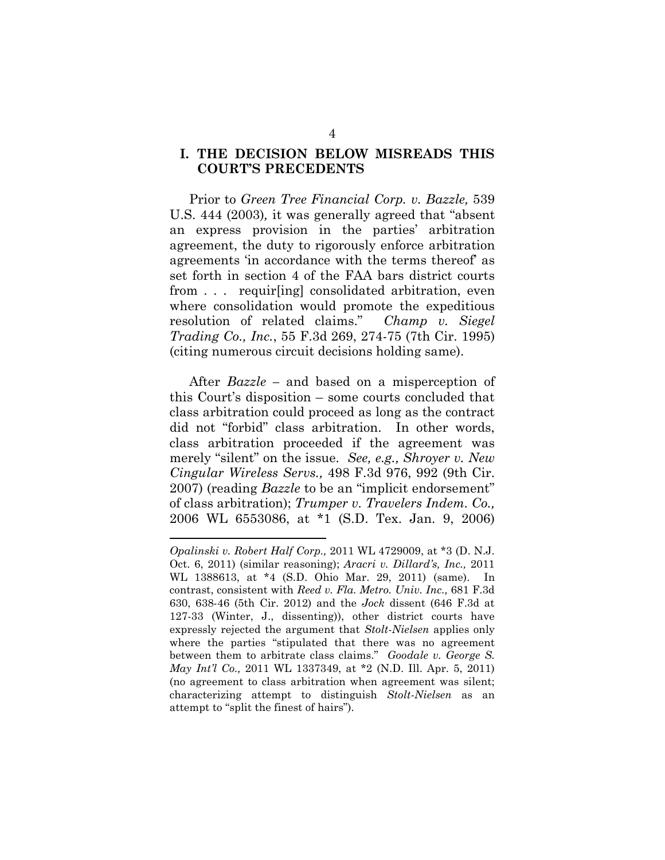#### <span id="page-16-0"></span>**I. THE DECISION BELOW MISREADS THIS COURT'S PRECEDENTS**

Prior to *Green Tree Financial Corp. v. Bazzle,* 539 U.S. 444 (2003)*,* it was generally agreed that "absent an express provision in the parties' arbitration agreement, the duty to rigorously enforce arbitration agreements 'in accordance with the terms thereof' as set forth in section 4 of the FAA bars district courts from . . . requir[ing] consolidated arbitration, even where consolidation would promote the expeditious resolution of related claims." *[Champ v. Siegel](https://web2.westlaw.com/find/default.wl?mt=Westlaw&db=0000506&tc=-1&rp=%2ffind%2fdefault.wl&findtype=Y&ordoc=0318197423&serialnum=1995112328&vr=2.0&fn=_top&sv=Split&tf=-1&pbc=E0A839FE&rs=WLW12.07)  Trading Co., Inc.*[, 55 F.3d 269, 274-75 \(7th Cir. 1995\)](https://web2.westlaw.com/find/default.wl?mt=Westlaw&db=0000506&tc=-1&rp=%2ffind%2fdefault.wl&findtype=Y&ordoc=0318197423&serialnum=1995112328&vr=2.0&fn=_top&sv=Split&tf=-1&pbc=E0A839FE&rs=WLW12.07) (citing numerous circuit decisions holding same).

After *Bazzle –* and based on a misperception of this Court's disposition – some courts concluded that class arbitration could proceed as long as the contract did not "forbid" class arbitration. In other words, class arbitration proceeded if the agreement was merely "silent" on the issue. *See, e.g., [Shroyer v. New](https://web2.westlaw.com/find/default.wl?mt=Westlaw&db=506&tc=-1&rp=%2ffind%2fdefault.wl&findtype=Y&ordoc=2022581154&serialnum=2012930761&vr=2.0&fn=_top&sv=Split&tf=-1&referencepositiontype=S&pbc=E00BB014&referenceposition=992&rs=WLW12.07)  Cingular Wireless Servs.,* [498 F.3d 976, 992 \(9th Cir.](https://web2.westlaw.com/find/default.wl?mt=Westlaw&db=506&tc=-1&rp=%2ffind%2fdefault.wl&findtype=Y&ordoc=2022581154&serialnum=2012930761&vr=2.0&fn=_top&sv=Split&tf=-1&referencepositiontype=S&pbc=E00BB014&referenceposition=992&rs=WLW12.07)  [2007\)](https://web2.westlaw.com/find/default.wl?mt=Westlaw&db=506&tc=-1&rp=%2ffind%2fdefault.wl&findtype=Y&ordoc=2022581154&serialnum=2012930761&vr=2.0&fn=_top&sv=Split&tf=-1&referencepositiontype=S&pbc=E00BB014&referenceposition=992&rs=WLW12.07) (reading *Bazzle* to be an "implicit endorsement" of class arbitration); *[Trumper v. Travelers Indem. Co.,](https://web2.westlaw.com/find/default.wl?mt=Westlaw&db=0000999&tc=-1&rp=%2ffind%2fdefault.wl&findtype=Y&ordoc=2022581154&serialnum=2021750516&vr=2.0&fn=_top&sv=Split&tf=-1&pbc=E00BB014&rs=WLW12.07)* [2006 WL 6553086, at \\*1 \(S.D. Tex. Jan. 9, 2006\)](https://web2.westlaw.com/find/default.wl?mt=Westlaw&db=0000999&tc=-1&rp=%2ffind%2fdefault.wl&findtype=Y&ordoc=2022581154&serialnum=2021750516&vr=2.0&fn=_top&sv=Split&tf=-1&pbc=E00BB014&rs=WLW12.07)

 $\overline{a}$ 

*Opalinski v. Robert Half Corp.,* 2011 WL 4729009, at \*3 (D. N.J. Oct. 6, 2011) (similar reasoning); *[Aracri v. Dillard's, Inc.,](http://www.westlaw.com/Find/Default.wl?rs=dfa1.0&vr=2.0&DB=0000999&FindType=Y&SerialNum=2024994964)* [2011](http://www.westlaw.com/Find/Default.wl?rs=dfa1.0&vr=2.0&DB=0000999&FindType=Y&SerialNum=2024994964)  WL 1388613, at \*4 (S.D. Ohio Mar. 29, 2011) (same). In contrast, consistent with *Reed v. Fla. Metro. Univ. Inc.,* 681 F.3d 630, 638-46 (5th Cir. 2012) and the *Jock* dissent (646 F.3d at 127-33 (Winter, J., dissenting)), other district courts have expressly rejected the argument that *Stolt-Nielsen* applies only where the parties "stipulated that there was no agreement between them to arbitrate class claims." *Goodale v. George S. May Int'l Co.,* [2011 WL 1337349, at \\*2 \(N.D. Ill. Apr. 5, 2011\)](http://www.westlaw.com/Find/Default.wl?rs=dfa1.0&vr=2.0&DB=0000999&FindType=Y&SerialNum=2024972399) (no agreement to class arbitration when agreement was silent; characterizing attempt to distinguish *Stolt-Nielsen* as an attempt to "split the finest of hairs").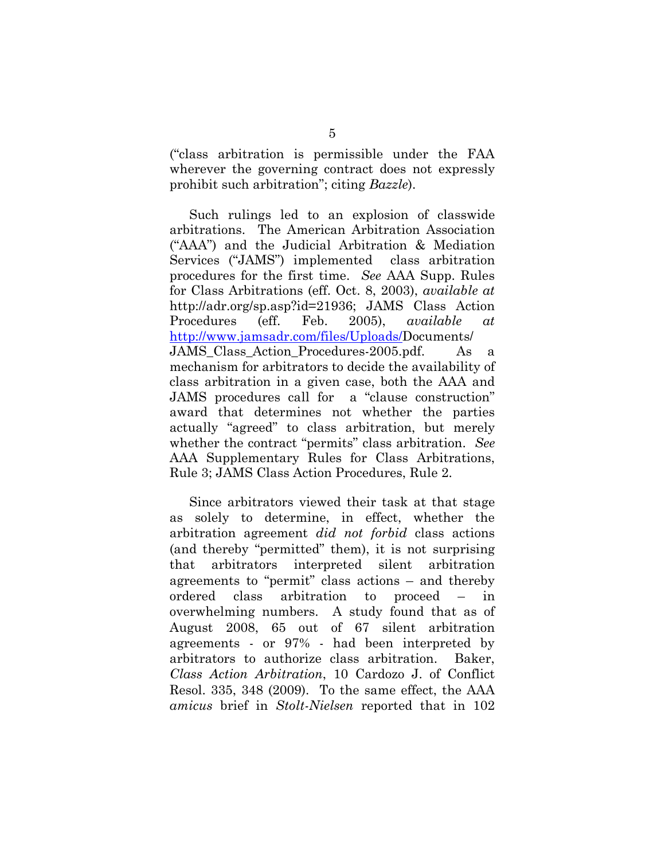("class arbitration is permissible under the FAA wherever the governing contract does not expressly prohibit such arbitration"; citing *[Bazzle](https://web2.westlaw.com/find/default.wl?mt=Westlaw&db=780&tc=-1&rp=%2ffind%2fdefault.wl&findtype=Y&ordoc=2022581154&serialnum=2003444529&vr=2.0&fn=_top&sv=Split&tf=-1&referencepositiontype=S&pbc=E00BB014&referenceposition=451&rs=WLW12.07)*).

Such rulings led to an explosion of classwide arbitrations. The American Arbitration Association ("AAA") and the Judicial Arbitration & Mediation Services ("JAMS") implemented class arbitration procedures for the first time. *See* AAA Supp. Rules for Class Arbitrations (eff. Oct. 8, 2003), *available at* http://adr.org/sp.asp?id=21936; JAMS Class Action Procedures (eff. Feb. 2005), *available at* [http://www.jamsadr.com/files/Uploads/D](http://www.jamsadr.com/files/Uploads/)ocuments/ JAMS Class Action Procedures-2005.pdf. As a mechanism for arbitrators to decide the availability of class arbitration in a given case, both the AAA and JAMS procedures call for a "clause construction" award that determines not whether the parties actually "agreed" to class arbitration, but merely whether the contract "permits" class arbitration. *See* AAA Supplementary Rules for Class Arbitrations, Rule 3; JAMS Class Action Procedures, Rule 2.

Since arbitrators viewed their task at that stage as solely to determine, in effect, whether the arbitration agreement *did not forbid* class actions (and thereby "permitted" them), it is not surprising that arbitrators interpreted silent arbitration agreements to "permit" class actions – and thereby ordered class arbitration to proceed – in overwhelming numbers. A study found that as of August 2008, 65 out of 67 silent arbitration agreements - or 97% - had been interpreted by arbitrators to authorize class arbitration. Baker, *Class Action Arbitration*, 10 Cardozo J. of Conflict Resol. 335, 348 (2009). To the same effect, the AAA *amicus* brief in *Stolt-Nielsen* reported that in 102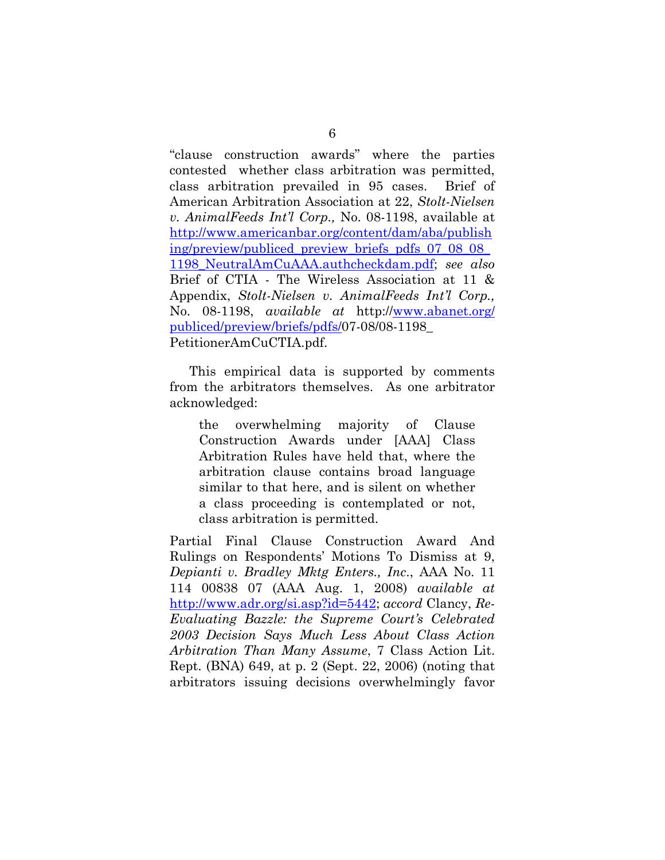"clause construction awards" where the parties contested whether class arbitration was permitted, class arbitration prevailed in 95 cases. Brief of American Arbitration Association at 22, *Stolt-Nielsen v. AnimalFeeds Int'l Corp.,* No. 08-1198, available at [http://www.americanbar.org/content/dam/aba/publish](http://www.americanbar.org/content/dam/aba/publishing/preview/publiced_preview_briefs_pdfs_07_08_08_1198_NeutralAmCuAAA.authcheckdam.pdf) [ing/preview/publiced\\_preview\\_briefs\\_pdfs\\_07\\_08\\_08\\_](http://www.americanbar.org/content/dam/aba/publishing/preview/publiced_preview_briefs_pdfs_07_08_08_1198_NeutralAmCuAAA.authcheckdam.pdf) [1198\\_NeutralAmCuAAA.authcheckdam.pdf;](http://www.americanbar.org/content/dam/aba/publishing/preview/publiced_preview_briefs_pdfs_07_08_08_1198_NeutralAmCuAAA.authcheckdam.pdf) *see also*  Brief of CTIA - The Wireless Association at 11 & Appendix, *Stolt-Nielsen v. AnimalFeeds Int'l Corp.,* No. 08-1198, *available at* http:/[/www.abanet.org/](http://www.abanet.org/%20publiced/preview/briefs/pdfs/)  [publiced/preview/briefs/pdfs/0](http://www.abanet.org/%20publiced/preview/briefs/pdfs/)7-08/08-1198\_ PetitionerAmCuCTIA.pdf.

This empirical data is supported by comments from the arbitrators themselves. As one arbitrator acknowledged:

the overwhelming majority of Clause Construction Awards under [AAA] Class Arbitration Rules have held that, where the arbitration clause contains broad language similar to that here, and is silent on whether a class proceeding is contemplated or not, class arbitration is permitted.

Partial Final Clause Construction Award And Rulings on Respondents' Motions To Dismiss at 9, *Depianti v. Bradley Mktg Enters., Inc*., AAA No. 11 114 00838 07 (AAA Aug. 1, 2008) *available at*  [http://www.adr.org/si.asp?id=5442;](http://www.adr.org/si.asp?id=5442) *accord* Clancy, *Re-Evaluating Bazzle: the Supreme Court's Celebrated 2003 Decision Says Much Less About Class Action Arbitration Than Many Assume*, 7 Class Action Lit. Rept. (BNA) 649, at p. 2 (Sept. 22, 2006) (noting that arbitrators issuing decisions overwhelmingly favor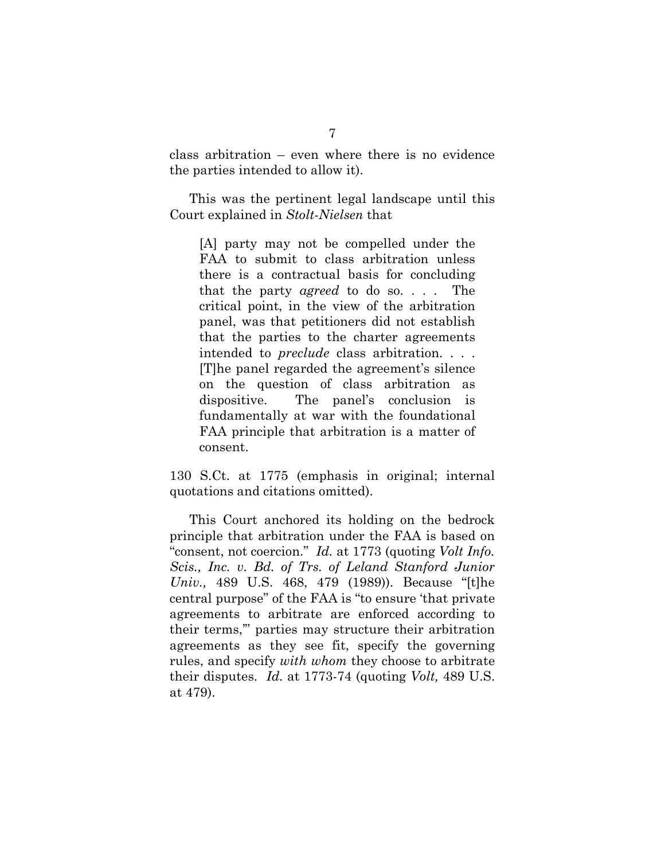class arbitration – even where there is no evidence the parties intended to allow it).

This was the pertinent legal landscape until this Court explained in *Stolt-Nielsen* that

[A] party may not be compelled under the FAA to submit to class arbitration unless there is a contractual basis for concluding that the party *agreed* to do so. . . . The critical point, in the view of the arbitration panel, was that petitioners did not establish that the parties to the charter agreements intended to *preclude* class arbitration. . . . [T]he panel regarded the agreement's silence on the question of class arbitration as dispositive. The panel's conclusion is fundamentally at war with the foundational FAA principle that arbitration is a matter of consent.

130 S.Ct. at 1775 (emphasis in original; internal quotations and citations omitted).

This Court anchored its holding on the bedrock principle that arbitration under the FAA is based on "consent, not coercion." *Id.* at 1773 (quoting *[Volt Info.](http://www.westlaw.com/Find/Default.wl?rs=dfa1.0&vr=2.0&DB=780&FindType=Y&ReferencePositionType=S&SerialNum=1989032283&ReferencePosition=479)  [Scis., Inc. v. Bd. of Trs. of Leland Stanford Junior](http://www.westlaw.com/Find/Default.wl?rs=dfa1.0&vr=2.0&DB=780&FindType=Y&ReferencePositionType=S&SerialNum=1989032283&ReferencePosition=479)  [Univ.,](http://www.westlaw.com/Find/Default.wl?rs=dfa1.0&vr=2.0&DB=780&FindType=Y&ReferencePositionType=S&SerialNum=1989032283&ReferencePosition=479)* [489 U.S. 468, 479 \(1989\)\)](http://www.westlaw.com/Find/Default.wl?rs=dfa1.0&vr=2.0&DB=780&FindType=Y&ReferencePositionType=S&SerialNum=1989032283&ReferencePosition=479). Because "[t]he central purpose" of the FAA is "to ensure 'that private agreements to arbitrate are enforced according to their terms,'" parties may structure their arbitration agreements as they see fit, specify the governing rules, and specify *with whom* they choose to arbitrate their disputes. *Id.* [at 1773-74](http://www.westlaw.com/Find/Default.wl?rs=dfa1.0&vr=2.0&DB=708&FindType=Y&ReferencePositionType=S&SerialNum=2021840752&ReferencePosition=1773) (quoting *[Volt,](http://www.westlaw.com/Find/Default.wl?rs=dfa1.0&vr=2.0&DB=780&FindType=Y&ReferencePositionType=S&SerialNum=1989032283&ReferencePosition=479)* [489 U.S.](http://www.westlaw.com/Find/Default.wl?rs=dfa1.0&vr=2.0&DB=780&FindType=Y&ReferencePositionType=S&SerialNum=1989032283&ReferencePosition=479)  at 479).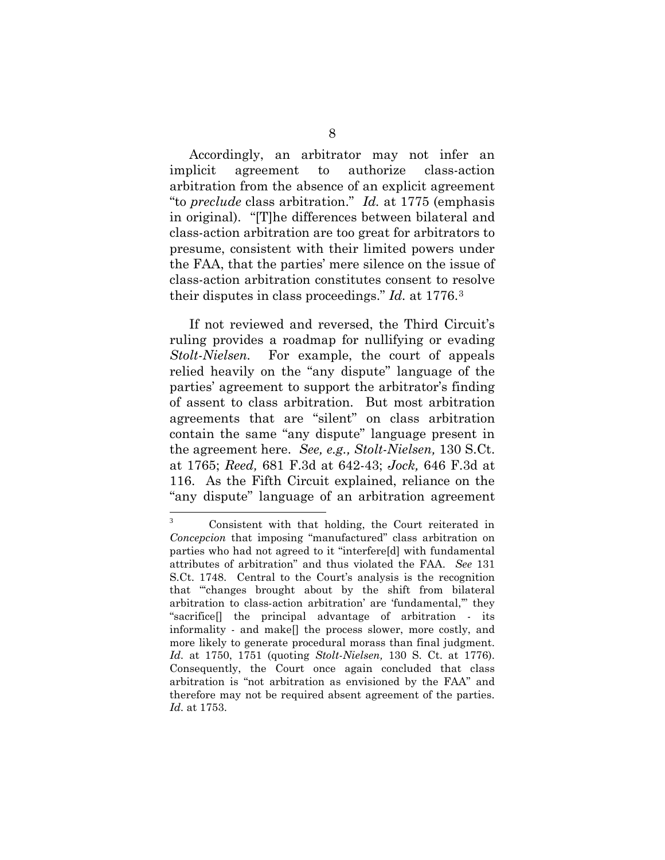Accordingly, an arbitrator may not infer an implicit agreement to authorize class-action arbitration from the absence of an explicit agreement "to *preclude* class arbitration." *Id.* at 1775 (emphasis in original). "[T]he differences between bilateral and class-action arbitration are too great for arbitrators to presume, consistent with their limited powers under the FAA, that the parties' mere silence on the issue of class-action arbitration constitutes consent to resolve their disputes in class proceedings." *Id.* at 1776[.3](#page-20-0)

If not reviewed and reversed, the Third Circuit's ruling provides a roadmap for nullifying or evading *Stolt-Nielsen.* For example, the court of appeals relied heavily on the "any dispute" language of the parties' agreement to support the arbitrator's finding of assent to class arbitration. But most arbitration agreements that are "silent" on class arbitration contain the same "any dispute" language present in the agreement here. *See, e.g., Stolt-Nielsen,* 130 S.Ct. at 1765; *Reed,* 681 F.3d at 642-43; *Jock,* 646 F.3d at 116. As the Fifth Circuit explained, reliance on the "any dispute" language of an arbitration agreement

 $\overline{a}$ 

<span id="page-20-0"></span>Consistent with that holding, the Court reiterated in *Concepcion* that imposing "manufactured" class arbitration on parties who had not agreed to it "interfere[d] with fundamental attributes of arbitration" and thus violated the FAA. *See* 131 S.Ct. 1748. Central to the Court's analysis is the recognition that "'changes brought about by the shift from bilateral arbitration to class-action arbitration' are 'fundamental,'" they "sacrifice[] the principal advantage of arbitration - its informality - and make[] the process slower, more costly, and more likely to generate procedural morass than final judgment. *Id.* at 1750, 1751 (quoting *[Stolt-Nielsen,](http://www.westlaw.com/Find/Default.wl?rs=dfa1.0&vr=2.0&DB=708&FindType=Y&ReferencePositionType=S&SerialNum=2021840752&ReferencePosition=1776)* [130 S. Ct. at 1776\).](http://www.westlaw.com/Find/Default.wl?rs=dfa1.0&vr=2.0&DB=708&FindType=Y&ReferencePositionType=S&SerialNum=2021840752&ReferencePosition=1776) Consequently, the Court once again concluded that class arbitration is "not arbitration as envisioned by the FAA" and therefore may not be required absent agreement of the parties. *Id.* at 1753.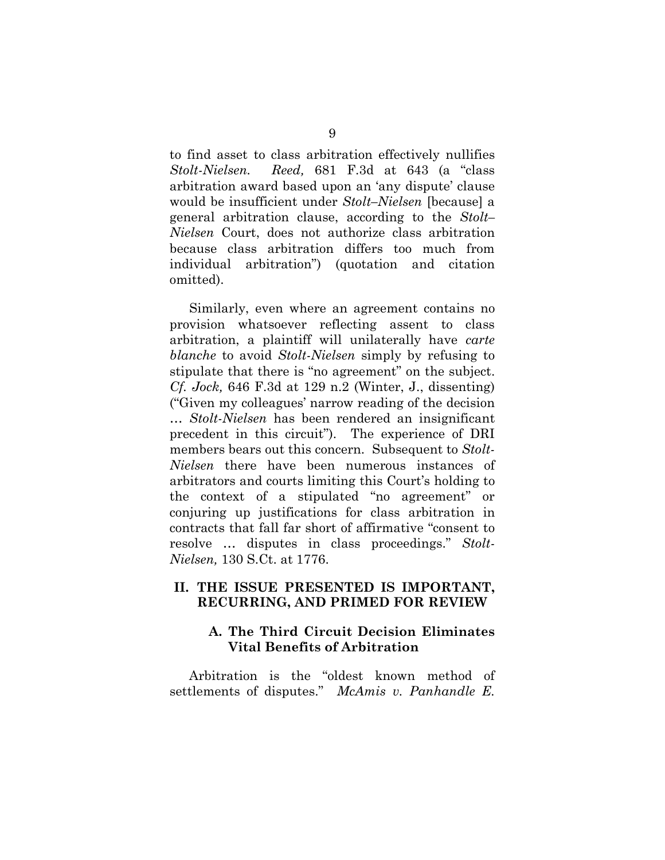to find asset to class arbitration effectively nullifies *Stolt-Nielsen. Reed,* 681 F.3d at 643 (a "class arbitration award based upon an 'any dispute' clause would be insufficient under *Stolt–Nielsen* [because] a general arbitration clause, according to the *[Stolt–](https://web2.westlaw.com/find/default.wl?rs=WLW12.07&pbc=E443A6F6&vr=2.0&findtype=Y&rp=%2ffind%2fdefault.wl&sv=Split&fn=_top&tf=-1&ordoc=2027723962&mt=Westlaw&serialnum=2021840752&tc=-1) [Nielsen](https://web2.westlaw.com/find/default.wl?rs=WLW12.07&pbc=E443A6F6&vr=2.0&findtype=Y&rp=%2ffind%2fdefault.wl&sv=Split&fn=_top&tf=-1&ordoc=2027723962&mt=Westlaw&serialnum=2021840752&tc=-1)* Court, does not authorize class arbitration because class arbitration differs too much from individual arbitration") (quotation and citation omitted).

Similarly, even where an agreement contains no provision whatsoever reflecting assent to class arbitration, a plaintiff will unilaterally have *carte blanche* to avoid *Stolt-Nielsen* simply by refusing to stipulate that there is "no agreement" on the subject. *Cf. Jock,* 646 F.3d at 129 n.2 (Winter, J., dissenting) ("Given my colleagues' narrow reading of the decision … *Stolt-Nielsen* has been rendered an insignificant precedent in this circuit"). The experience of DRI members bears out this concern. Subsequent to *Stolt-Nielsen* there have been numerous instances of arbitrators and courts limiting this Court's holding to the context of a stipulated "no agreement" or conjuring up justifications for class arbitration in contracts that fall far short of affirmative "consent to resolve … disputes in class proceedings." *Stolt-Nielsen,* 130 S.Ct. at 1776.

#### <span id="page-21-1"></span><span id="page-21-0"></span>**II. THE ISSUE PRESENTED IS IMPORTANT, RECURRING, AND PRIMED FOR REVIEW**

# **A. The Third Circuit Decision Eliminates Vital Benefits of Arbitration**

Arbitration is the "oldest known method of settlements of disputes." *McAmis v. Panhandle E.*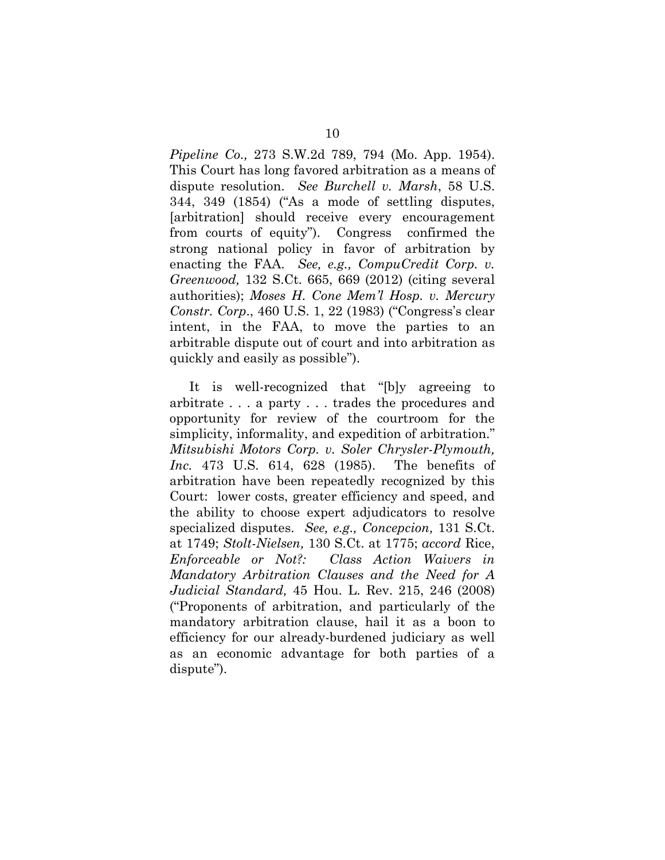*Pipeline Co.,* 273 S.W.2d 789, 794 (Mo. App. 1954). This Court has long favored arbitration as a means of dispute resolution. *See Burchell v. Marsh*, 58 U.S. 344, 349 (1854) ("As a mode of settling disputes, [arbitration] should receive every encouragement from courts of equity"). Congress confirmed the strong national policy in favor of arbitration by enacting the FAA. *See, e.g., [CompuCredit Corp. v.](https://web2.westlaw.com/find/default.wl?rs=WLW12.04&pbc=BC6E23F9&vr=2.0&docname=CIK(0001068199)&lvbp=T&rp=%2ffind%2fdefault.wl&sv=Split&fn=_top&findtype=l&mt=Westlaw&returnto=BusinessNameReturnTo&db=BC-COMPANYSRBD)  [Greenwood,](https://web2.westlaw.com/find/default.wl?rs=WLW12.04&pbc=BC6E23F9&vr=2.0&docname=CIK(0001068199)&lvbp=T&rp=%2ffind%2fdefault.wl&sv=Split&fn=_top&findtype=l&mt=Westlaw&returnto=BusinessNameReturnTo&db=BC-COMPANYSRBD)* 132 S.Ct. 665, 669 (2012) (citing several authorities); *Moses H. Cone Mem'l Hosp. v. Mercury Constr. Corp*., 460 U.S. 1, 22 (1983) ("Congress's clear intent, in the FAA, to move the parties to an arbitrable dispute out of court and into arbitration as quickly and easily as possible").

It is well-recognized that "[b]y agreeing to arbitrate . . . a party . . . trades the procedures and opportunity for review of the courtroom for the simplicity, informality, and expedition of arbitration." *Mitsubishi Motors Corp. v. Soler Chrysler-Plymouth, Inc.* 473 U.S. 614, 628 (1985). The benefits of arbitration have been repeatedly recognized by this Court: lower costs, greater efficiency and speed, and the ability to choose expert adjudicators to resolve specialized disputes. *See, e.g., Concepcion,* 131 S.Ct. at 1749; *[Stolt-Nielsen,](https://web2.westlaw.com/find/default.wl?returnto=BusinessNameReturnTo&db=BC-COMPANYSRBD&rs=WLW12.04&lvbp=T&vr=2.0&rp=%2ffind%2fdefault.wl&sv=Split&fn=_top&findtype=l&mt=Westlaw&docname=CIK(LE10228608))* 130 S.Ct. at 1775; *accord* Rice, *Enforceable or Not?: Class Action Waivers in Mandatory Arbitration Clauses and the Need for A Judicial Standard,* 45 Hou. L. Rev. 215, 246 (2008) ("Proponents of arbitration, and particularly of the mandatory arbitration clause, hail it as a boon to efficiency for our already-burdened judiciary as well as an economic advantage for both parties of a dispute").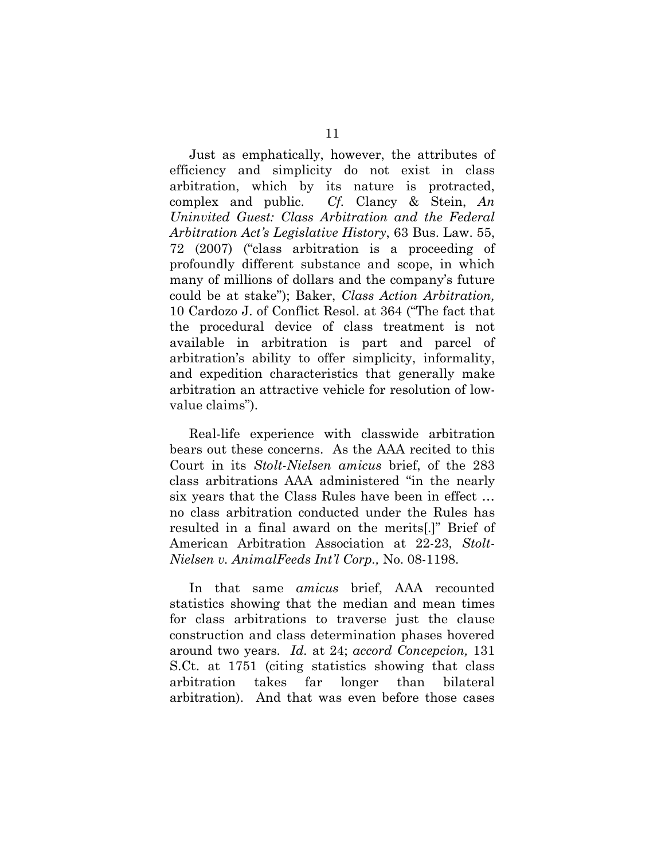Just as emphatically, however, the attributes of efficiency and simplicity do not exist in class arbitration, which by its nature is protracted, complex and public. *Cf.* Clancy & Stein, *An Uninvited Guest: Class Arbitration and the Federal Arbitration Act's Legislative History*, 63 Bus. Law. 55, 72 (2007) ("class arbitration is a proceeding of profoundly different substance and scope, in which many of millions of dollars and the company's future could be at stake"); Baker, *Class Action Arbitration,*  10 Cardozo J. of Conflict Resol. at 364 ("The fact that the procedural device of class treatment is not available in arbitration is part and parcel of arbitration's ability to offer simplicity, informality, and expedition characteristics that generally make arbitration an attractive vehicle for resolution of lowvalue claims").

Real-life experience with classwide arbitration bears out these concerns. As the AAA recited to this Court in its *Stolt-Nielsen amicus* brief, of the 283 class arbitrations AAA administered "in the nearly six years that the Class Rules have been in effect … no class arbitration conducted under the Rules has resulted in a final award on the merits[.]" Brief of American Arbitration Association at 22-23, *Stolt-Nielsen v. AnimalFeeds Int'l Corp.,* No. 08-1198.

In that same *amicus* brief, AAA recounted statistics showing that the median and mean times for class arbitrations to traverse just the clause construction and class determination phases hovered around two years. *Id.* at 24; *accord Concepcion,* 131 S.Ct. at 1751 (citing statistics showing that class arbitration takes far longer than bilateral arbitration). And that was even before those cases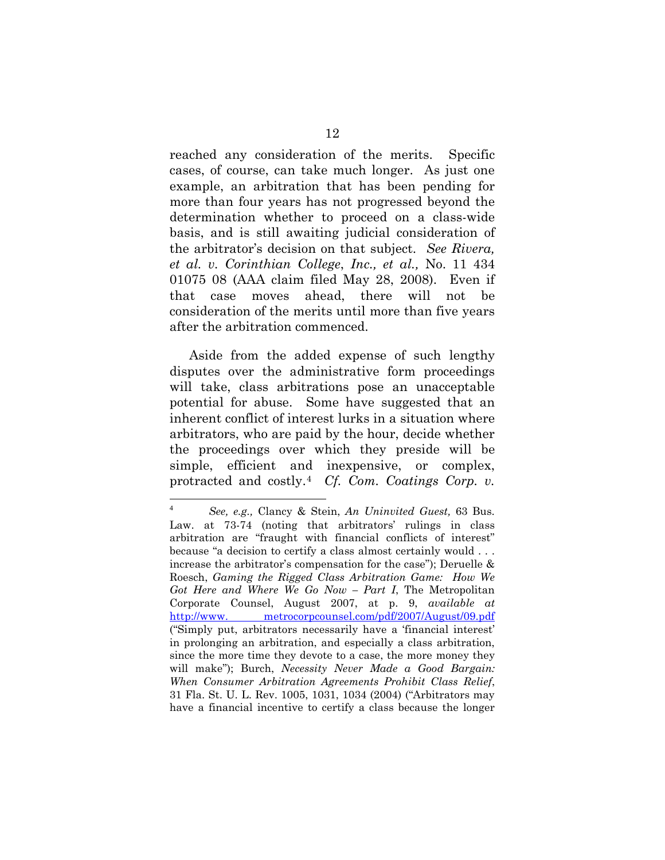reached any consideration of the merits. Specific cases, of course, can take much longer. As just one example, an arbitration that has been pending for more than four years has not progressed beyond the determination whether to proceed on a class-wide basis, and is still awaiting judicial consideration of the arbitrator's decision on that subject. *See Rivera, et al. v. Corinthian College*, *Inc., et al.,* No. 11 434 01075 08 (AAA claim filed May 28, 2008). Even if that case moves ahead, there will not be consideration of the merits until more than five years after the arbitration commenced.

Aside from the added expense of such lengthy disputes over the administrative form proceedings will take, class arbitrations pose an unacceptable potential for abuse. Some have suggested that an inherent conflict of interest lurks in a situation where arbitrators, who are paid by the hour, decide whether the proceedings over which they preside will be simple, efficient and inexpensive, or complex, protracted and costly.[4](#page-24-0) *Cf. Com. [Coatings Corp. v.](https://web2.westlaw.com/find/default.wl?mt=Westlaw&db=780&tc=-1&rp=%2ffind%2fdefault.wl&findtype=Y&ordoc=2015318935&serialnum=1968139825&vr=2.0&fn=_top&sv=Split&tf=-1&referencepositiontype=S&pbc=F62A63B4&referenceposition=150&rs=WLW12.07)* 

<span id="page-24-0"></span> $\sqrt{4}$ <sup>4</sup> *See, e.g.,* Clancy & Stein, *An Uninvited Guest,* [63 Bus.](https://web2.westlaw.com/find/default.wl?mt=Westlaw&db=1105&tc=-1&rp=%2ffind%2fdefault.wl&findtype=Y&ordoc=2019616729&serialnum=0335698417&vr=2.0&fn=_top&sv=Split&tf=-1&referencepositiontype=S&pbc=B8C87CD3&referenceposition=73&rs=WLW12.07)  [Law. at 73-](https://web2.westlaw.com/find/default.wl?mt=Westlaw&db=1105&tc=-1&rp=%2ffind%2fdefault.wl&findtype=Y&ordoc=2019616729&serialnum=0335698417&vr=2.0&fn=_top&sv=Split&tf=-1&referencepositiontype=S&pbc=B8C87CD3&referenceposition=73&rs=WLW12.07)74 (noting that arbitrators' rulings in class arbitration are "fraught with financial conflicts of interest" because "a decision to certify a class almost certainly would . . . increase the arbitrator's compensation for the case"); Deruelle & Roesch, *Gaming the Rigged Class Arbitration Game: How We Got Here and Where We Go Now – Part I*, The Metropolitan Corporate Counsel, August 2007, at p. 9, *available at*  http://www. metrocorpcounsel.com/pdf/2007/August/09.pdf ("Simply put, arbitrators necessarily have a 'financial interest' in prolonging an arbitration, and especially a class arbitration, since the more time they devote to a case, the more money they will make"); Burch, *[Necessity Never Made a Good Bargain:](https://web2.westlaw.com/find/default.wl?mt=Westlaw&db=1141&tc=-1&rp=%2ffind%2fdefault.wl&findtype=Y&ordoc=0364416423&serialnum=0300430673&vr=2.0&fn=_top&sv=Split&tf=-1&referencepositiontype=S&pbc=70D54424&referenceposition=1031&rs=WLW12.07)  [When Consumer Arbitration Agreements Prohibit Class Relief](https://web2.westlaw.com/find/default.wl?mt=Westlaw&db=1141&tc=-1&rp=%2ffind%2fdefault.wl&findtype=Y&ordoc=0364416423&serialnum=0300430673&vr=2.0&fn=_top&sv=Split&tf=-1&referencepositiontype=S&pbc=70D54424&referenceposition=1031&rs=WLW12.07)*, [31 Fla. St. U. L. Rev. 1005, 1031, 1034 \(2004\)](https://web2.westlaw.com/find/default.wl?mt=Westlaw&db=1141&tc=-1&rp=%2ffind%2fdefault.wl&findtype=Y&ordoc=0364416423&serialnum=0300430673&vr=2.0&fn=_top&sv=Split&tf=-1&referencepositiontype=S&pbc=70D54424&referenceposition=1031&rs=WLW12.07) ("Arbitrators may have a financial incentive to certify a class because the longer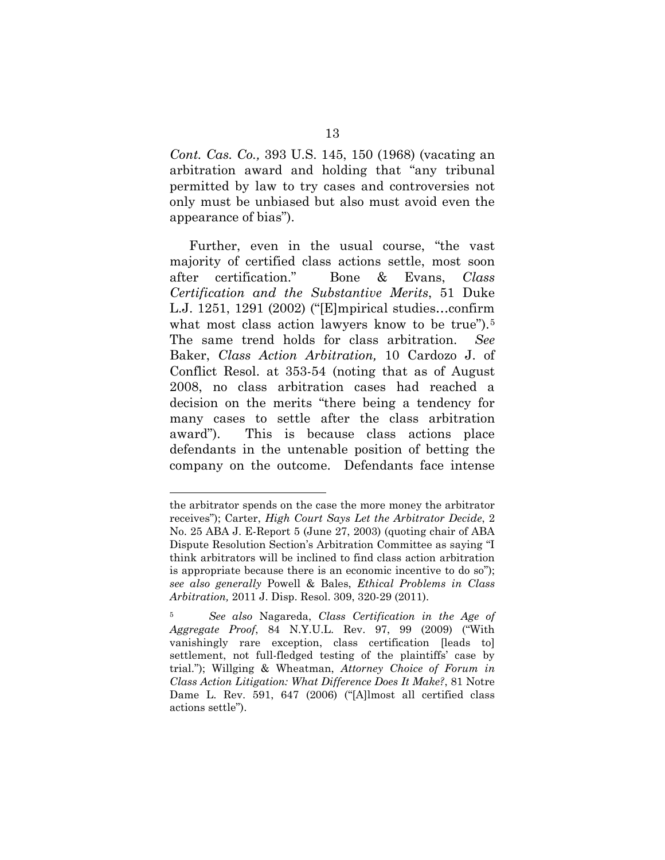*Cont. Cas. Co.,* 393 U.S. 145, 150 (1968) (vacating an arbitration award and holding that "any tribunal permitted by law to try cases and controversies not only must be unbiased but also must avoid even the appearance of bias").

Further, even in the usual course, "the vast majority of certified class actions settle, most soon after certification." Bone & Evans, *Class Certification and the Substantive Merits*, 51 Duke L.J. 1251, 1291 (2002) ("[E]mpirical studies…confirm what most class action lawyers know to be true").<sup>[5](#page-25-0)</sup> The same trend holds for class arbitration. *See*  Baker, *Class Action Arbitration,* 10 Cardozo J. of Conflict Resol. at 353-54 (noting that as of August 2008, no class arbitration cases had reached a decision on the merits "there being a tendency for many cases to settle after the class arbitration award"). This is because class actions place defendants in the untenable position of betting the company on the outcome. Defendants face intense

 $\overline{a}$ 

the arbitrator spends on the case the more money the arbitrator receives"); Carter, *High Court Says Let the Arbitrator Decide*, 2 No. 25 ABA J. E-Report 5 (June 27, 2003) (quoting chair of ABA Dispute Resolution Section's Arbitration Committee as saying "I think arbitrators will be inclined to find class action arbitration is appropriate because there is an economic incentive to do so"); *see also generally* Powell & Bales, *Ethical Problems in Class Arbitration,* 2011 J. Disp. Resol. 309, 320-29 (2011).

<span id="page-25-0"></span><sup>5</sup> *See also* Nagareda, *Class Certification in the Age of Aggregate Proof*, 84 N.Y.U.L. Rev. 97, 99 (2009) ("With vanishingly rare exception, class certification [leads to] settlement, not full-fledged testing of the plaintiffs' case by trial."); Willging & Wheatman, *Attorney Choice of Forum in Class Action Litigation: What Difference Does It Make?*, 81 Notre Dame L. Rev. 591, 647 (2006) ("[A]lmost all certified class actions settle").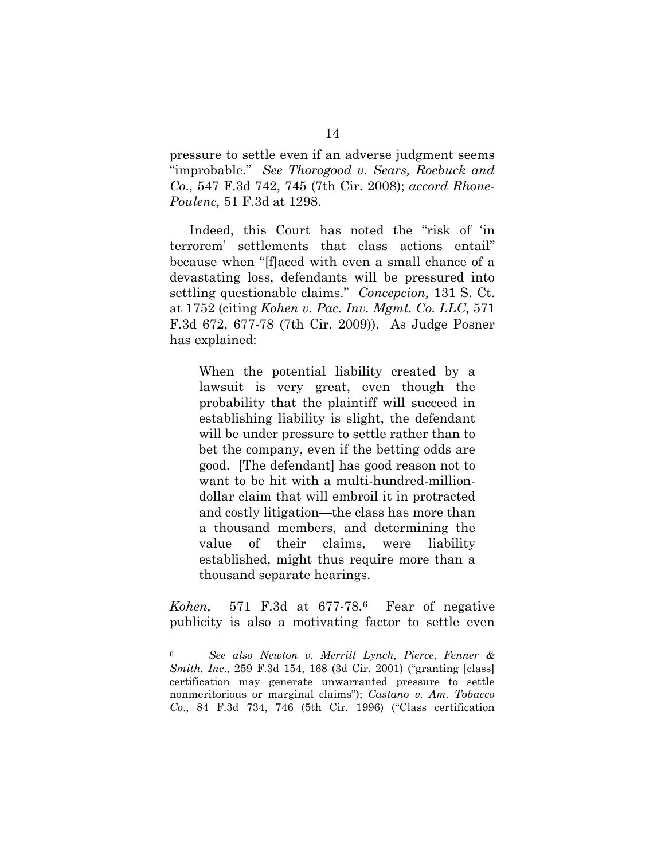pressure to settle even if an adverse judgment seems "improbable." *See Thorogood v. Sears, Roebuck and Co*., 547 F.3d 742, 745 (7th Cir. 2008); *accord Rhone-Poulenc,* 51 F.3d at 1298.

Indeed, this Court has noted the "risk of 'in terrorem' settlements that class actions entail" because when "[f]aced with even a small chance of a devastating loss, defendants will be pressured into settling questionable claims." *Concepcion,* 131 S. Ct. at 1752 (citing *[Kohen v. Pac. Inv. Mgmt. Co. LLC,](http://www.westlaw.com/Find/Default.wl?rs=dfa1.0&vr=2.0&DB=506&FindType=Y&ReferencePositionType=S&SerialNum=2019292069&ReferencePosition=677)* [571](http://www.westlaw.com/Find/Default.wl?rs=dfa1.0&vr=2.0&DB=506&FindType=Y&ReferencePositionType=S&SerialNum=2019292069&ReferencePosition=677)  F.3d 672, 677-78 (7th Cir. 2009)). As Judge Posner has explained:

When the potential liability created by a lawsuit is very great, even though the probability that the plaintiff will succeed in establishing liability is slight, the defendant will be under pressure to settle rather than to bet the company, even if the betting odds are good. [The defendant] has good reason not to want to be hit with a multi-hundred-milliondollar claim that will embroil it in protracted and costly litigation—the class has more than a thousand members, and determining the value of their claims, were liability established, might thus require more than a thousand separate hearings.

*[Kohen,](http://www.westlaw.com/Find/Default.wl?rs=dfa1.0&vr=2.0&DB=506&FindType=Y&ReferencePositionType=S&SerialNum=2019292069&ReferencePosition=677)* [571 F.3d at 677-78.](http://www.westlaw.com/Find/Default.wl?rs=dfa1.0&vr=2.0&DB=506&FindType=Y&ReferencePositionType=S&SerialNum=2019292069&ReferencePosition=677)[6](#page-26-0) Fear of negative publicity is also a motivating factor to settle even

<span id="page-26-0"></span> <sup>6</sup> *See also Newton v. Merrill Lynch, Pierce, Fenner & Smith, Inc*., 259 F.3d 154, 168 (3d Cir. 2001) ("granting [class] certification may generate unwarranted pressure to settle nonmeritorious or marginal claims"); *Castano v. Am. Tobacco Co*., 84 F.3d 734, 746 (5th Cir. 1996) ("Class certification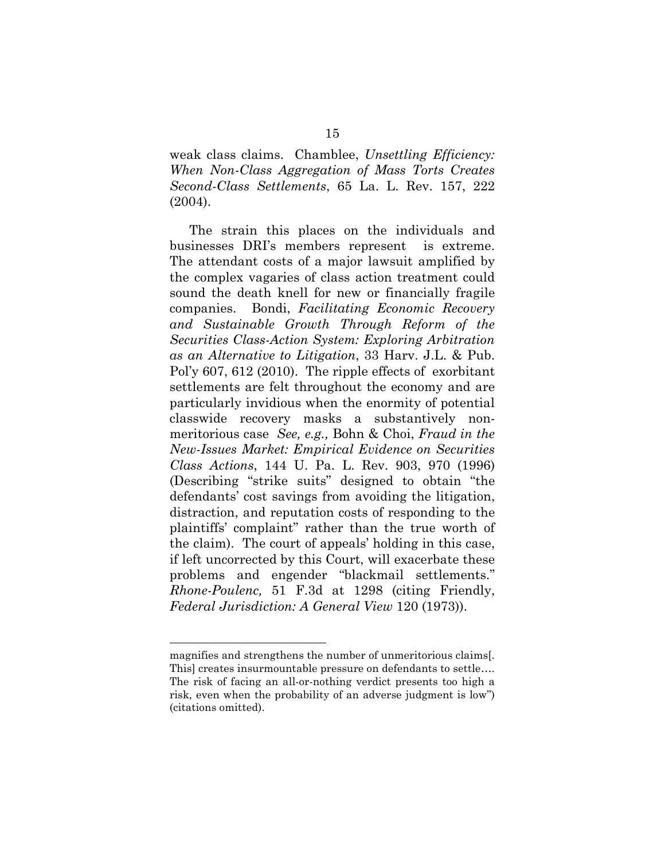weak class claims. Chamblee, *Unsettling Efficiency: When Non-Class Aggregation of Mass Torts Creates Second-Class Settlements*, 65 La. L. Rev. 157, 222 (2004).

The strain this places on the individuals and businesses DRI's members represent is extreme. The attendant costs of a major lawsuit amplified by the complex vagaries of class action treatment could sound the death knell for new or financially fragile companies. Bondi, *Facilitating Economic Recovery and Sustainable Growth Through Reform of the Securities Class-Action System: Exploring Arbitration as an Alternative to Litigation*, 33 Harv. J.L. & Pub. Pol'y 607, 612 (2010). The ripple effects of exorbitant settlements are felt throughout the economy and are particularly invidious when the enormity of potential classwide recovery masks a substantively nonmeritorious case *See, e.g.,* Bohn & Choi, *Fraud in the New-Issues Market: Empirical Evidence on Securities Class Actions*, 144 U. Pa. L. Rev. 903, 970 (1996) (Describing "strike suits" designed to obtain "the defendants' cost savings from avoiding the litigation, distraction, and reputation costs of responding to the plaintiffs' complaint" rather than the true worth of the claim). The court of appeals' holding in this case, if left uncorrected by this Court, will exacerbate these problems and engender "blackmail settlements." *Rhone-Poulenc,* 51 F.3d at 1298 (citing Friendly, *Federal Jurisdiction: A General View* 120 (1973)).

l

magnifies and strengthens the number of unmeritorious claims[. This] creates insurmountable pressure on defendants to settle.... The risk of facing an all-or-nothing verdict presents too high a risk, even when the probability of an adverse judgment is low") (citations omitted).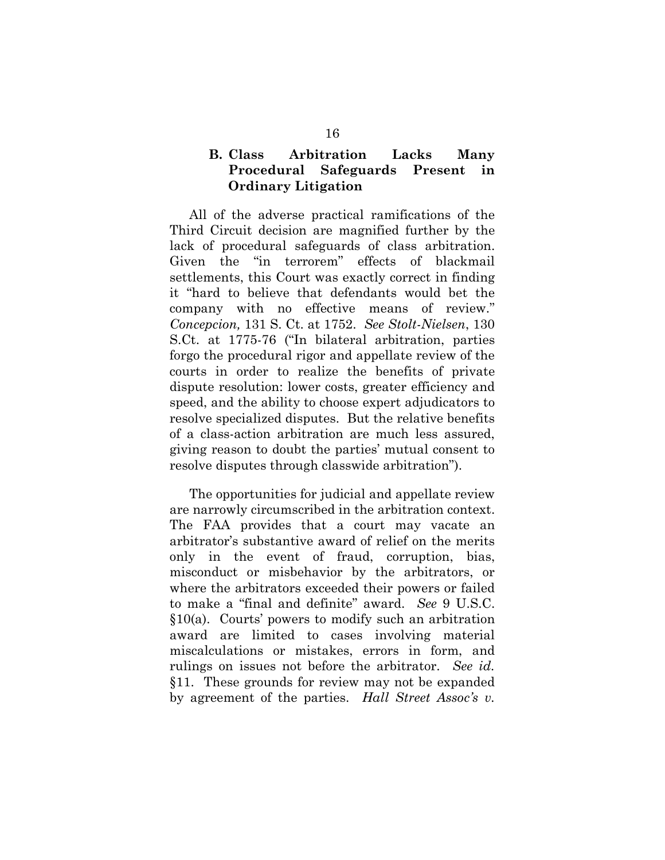# <span id="page-28-0"></span>**B. Class Arbitration Lacks Many Procedural Safeguards Present in Ordinary Litigation**

All of the adverse practical ramifications of the Third Circuit decision are magnified further by the lack of procedural safeguards of class arbitration. Given the "in terrorem" effects of blackmail settlements, this Court was exactly correct in finding it "hard to believe that defendants would bet the company with no effective means of review." *[Concepcion,](http://www.westlaw.com/Find/Default.wl?rs=dfa1.0&vr=2.0&DB=708&FindType=Y&ReferencePositionType=S&SerialNum=2025172541&ReferencePosition=1752)* [131 S. Ct. at 1752.](http://www.westlaw.com/Find/Default.wl?rs=dfa1.0&vr=2.0&DB=708&FindType=Y&ReferencePositionType=S&SerialNum=2025172541&ReferencePosition=1752) *See Stolt-Nielsen*, 130 S.Ct. at 1775-76 ("In bilateral arbitration, parties forgo the procedural rigor and appellate review of the courts in order to realize the benefits of private dispute resolution: lower costs, greater efficiency and speed, and the ability to choose expert adjudicators to resolve specialized disputes. But the relative benefits of a class-action arbitration are much less assured, giving reason to doubt the parties' mutual consent to resolve disputes through classwide arbitration").

The opportunities for judicial and appellate review are narrowly circumscribed in the arbitration context. The FAA provides that a court may vacate an arbitrator's substantive award of relief on the merits only in the event of fraud, corruption, bias, misconduct or misbehavior by the arbitrators, or where the arbitrators exceeded their powers or failed to make a "final and definite" award. *See* 9 U.S.C. §10(a). Courts' powers to modify such an arbitration award are limited to cases involving material miscalculations or mistakes, errors in form, and rulings on issues not before the arbitrator. *See id.*  §11. These grounds for review may not be expanded by agreement of the parties. *Hall Street Assoc's v.*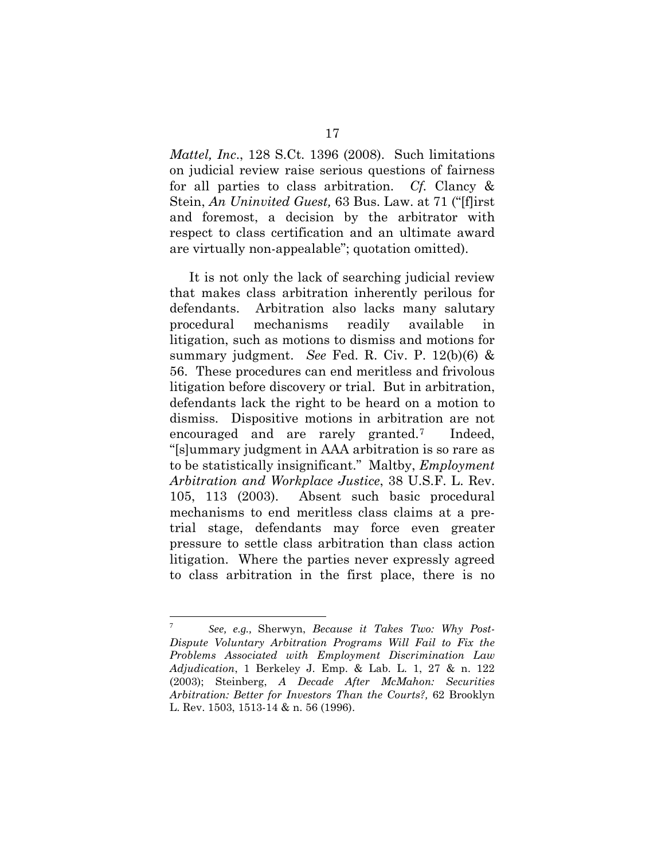*Mattel, Inc*., 128 S.Ct. 1396 (2008). Such limitations on judicial review raise serious questions of fairness for all parties to class arbitration. *Cf.* Clancy & Stein, *An Uninvited Guest,* 63 Bus. Law. at 71 ("[f]irst and foremost, a decision by the arbitrator with respect to class certification and an ultimate award are virtually non-appealable"; quotation omitted).

It is not only the lack of searching judicial review that makes class arbitration inherently perilous for defendants. Arbitration also lacks many salutary procedural mechanisms readily available in litigation, such as motions to dismiss and motions for summary judgment. *See* Fed. R. Civ. P. 12(b)(6) & 56. These procedures can end meritless and frivolous litigation before discovery or trial. But in arbitration, defendants lack the right to be heard on a motion to dismiss. Dispositive motions in arbitration are not encouraged and are rarely granted.[7](#page-29-0) Indeed, "[s]ummary judgment in AAA arbitration is so rare as to be statistically insignificant." Maltby, *Employment Arbitration and Workplace Justice*, 38 U.S.F. L. Rev. 105, 113 (2003). Absent such basic procedural mechanisms to end meritless class claims at a pretrial stage, defendants may force even greater pressure to settle class arbitration than class action litigation. Where the parties never expressly agreed to class arbitration in the first place, there is no

<span id="page-29-0"></span> $\overline{7}$ <sup>7</sup> *See, e.g.,* Sherwyn, *Because it Takes Two: Why Post-Dispute Voluntary Arbitration Programs Will Fail to Fix the Problems Associated with Employment Discrimination Law Adjudication*, 1 Berkeley J. Emp. & Lab. L. 1, 27 & n. 122 (2003); Steinberg, *A Decade After McMahon: Securities Arbitration: Better for Investors Than the Courts?,* 62 Brooklyn L. Rev. 1503, 1513-14 & n. 56 (1996).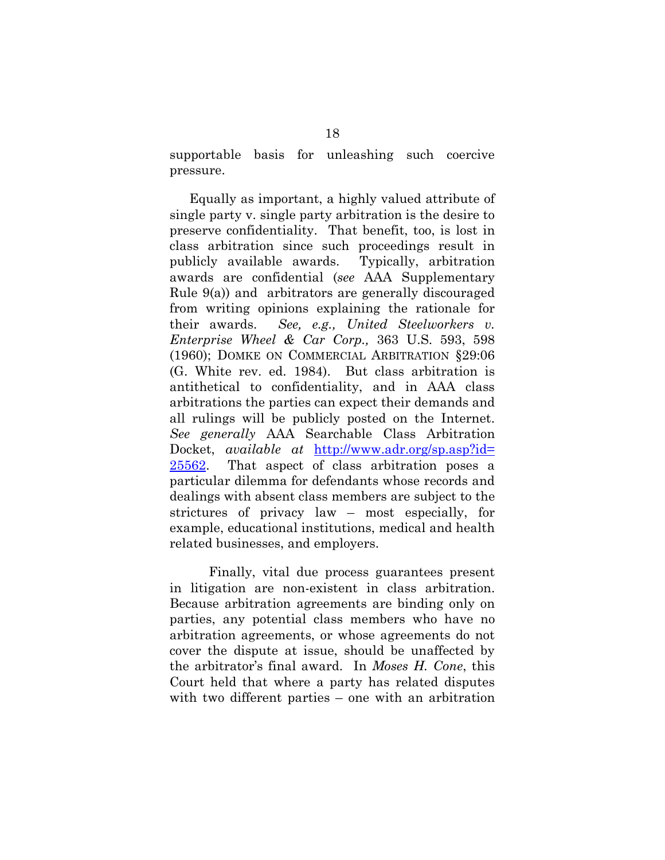supportable basis for unleashing such coercive pressure.

Equally as important, a highly valued attribute of single party v. single party arbitration is the desire to preserve confidentiality. That benefit, too, is lost in class arbitration since such proceedings result in publicly available awards. Typically, arbitration awards are confidential (*see* AAA Supplementary Rule 9(a)) and arbitrators are generally discouraged from writing opinions explaining the rationale for their awards. *See, e.g., United Steelworkers v. Enterprise Wheel & Car Corp.,* 363 U.S. 593, 598 (1960); DOMKE ON COMMERCIAL ARBITRATION §29:06 (G. White rev. ed. 1984). But class arbitration is antithetical to confidentiality, and in AAA class arbitrations the parties can expect their demands and all rulings will be publicly posted on the Internet. *See generally* AAA Searchable Class Arbitration Docket, *available at* [http://www.adr.org/sp.asp?id=](http://www.adr.org/sp.asp?id=%2025562)  [25562.](http://www.adr.org/sp.asp?id=%2025562) That aspect of class arbitration poses a particular dilemma for defendants whose records and dealings with absent class members are subject to the strictures of privacy law – most especially, for example, educational institutions, medical and health related businesses, and employers.

Finally, vital due process guarantees present in litigation are non-existent in class arbitration. Because arbitration agreements are binding only on parties, any potential class members who have no arbitration agreements, or whose agreements do not cover the dispute at issue, should be unaffected by the arbitrator's final award. In *Moses H. Cone*, this Court held that where a party has related disputes with two different parties – one with an arbitration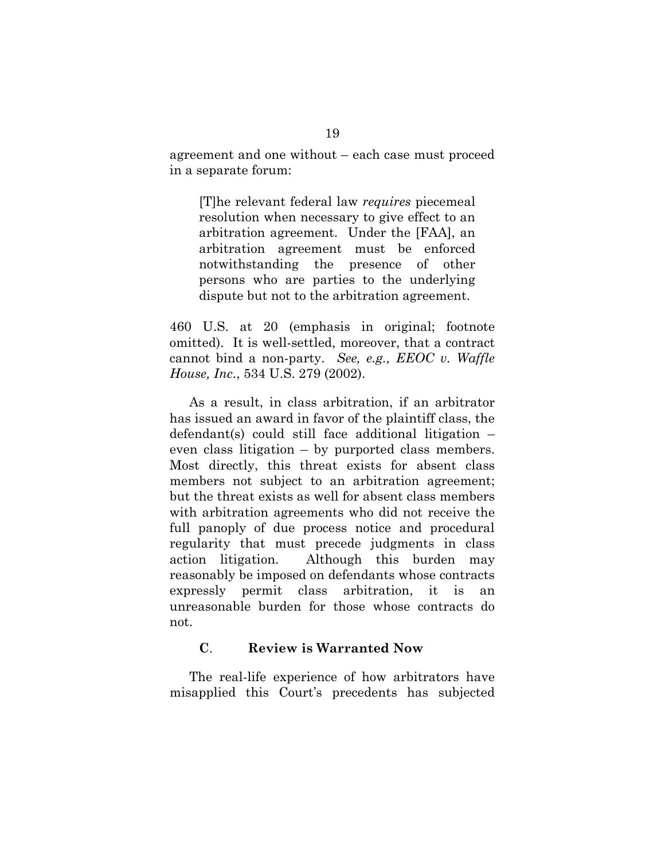agreement and one without – each case must proceed in a separate forum:

[T]he relevant federal law *requires* piecemeal resolution when necessary to give effect to an arbitration agreement. Under the [FAA], an arbitration agreement must be enforced notwithstanding the presence of other persons who are parties to the underlying dispute but not to the arbitration agreement.

460 U.S. at 20 (emphasis in original; footnote omitted). It is well-settled, moreover, that a contract cannot bind a non-party. *See, e.g., EEOC v. Waffle House, Inc*., 534 U.S. 279 (2002).

As a result, in class arbitration, if an arbitrator has issued an award in favor of the plaintiff class, the defendant(s) could still face additional litigation – even class litigation – by purported class members. Most directly, this threat exists for absent class members not subject to an arbitration agreement; but the threat exists as well for absent class members with arbitration agreements who did not receive the full panoply of due process notice and procedural regularity that must precede judgments in class action litigation. Although this burden may reasonably be imposed on defendants whose contracts expressly permit class arbitration, it is an unreasonable burden for those whose contracts do not.

#### <span id="page-31-0"></span>**C**. **Review is Warranted Now**

The real-life experience of how arbitrators have misapplied this Court's precedents has subjected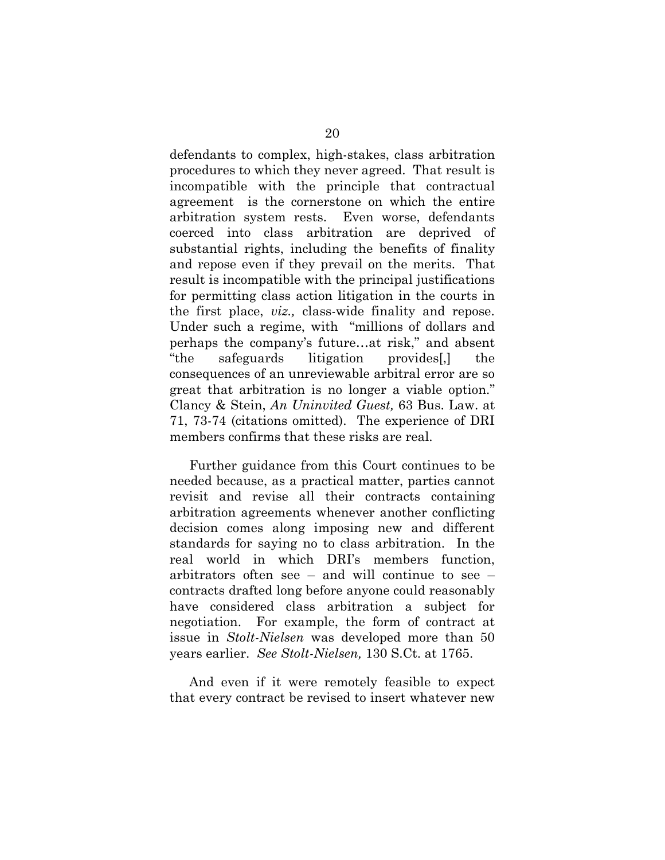defendants to complex, high-stakes, class arbitration procedures to which they never agreed. That result is incompatible with the principle that contractual agreement is the cornerstone on which the entire arbitration system rests. Even worse, defendants coerced into class arbitration are deprived of substantial rights, including the benefits of finality and repose even if they prevail on the merits. That result is incompatible with the principal justifications for permitting class action litigation in the courts in the first place, *viz.,* class-wide finality and repose. Under such a regime, with "millions of dollars and perhaps the company's future…at risk," and absent "the safeguards litigation provides[,] the consequences of an unreviewable arbitral error are so great that arbitration is no longer a viable option." Clancy & Stein, *An Uninvited Guest,* 63 Bus. Law. at 71, 73-74 (citations omitted). The experience of DRI members confirms that these risks are real.

Further guidance from this Court continues to be needed because, as a practical matter, parties cannot revisit and revise all their contracts containing arbitration agreements whenever another conflicting decision comes along imposing new and different standards for saying no to class arbitration. In the real world in which DRI's members function, arbitrators often see – and will continue to see – contracts drafted long before anyone could reasonably have considered class arbitration a subject for negotiation. For example, the form of contract at issue in *Stolt-Nielsen* was developed more than 50 years earlier. *See Stolt-Nielsen,* 130 S.Ct. at 1765.

And even if it were remotely feasible to expect that every contract be revised to insert whatever new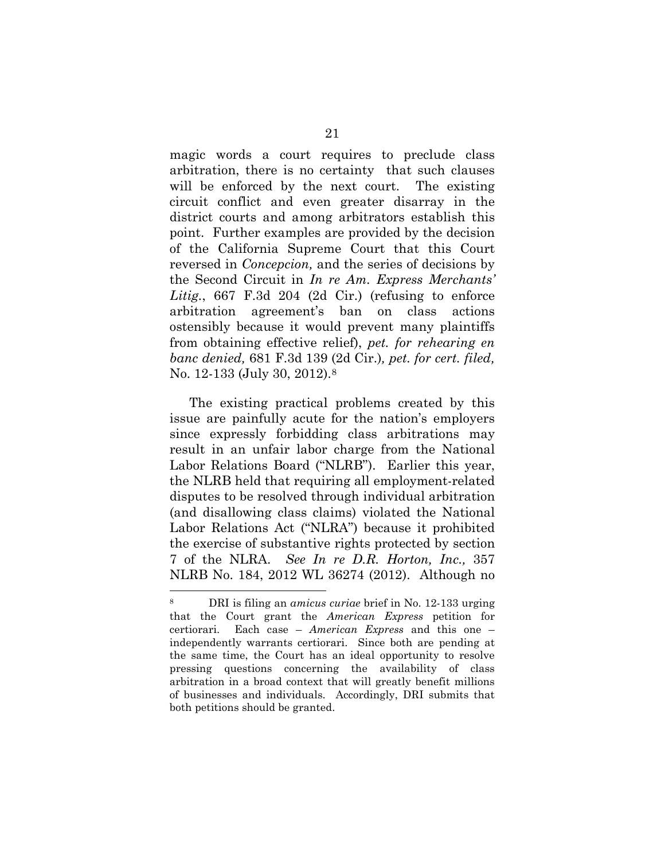magic words a court requires to preclude class arbitration, there is no certainty that such clauses will be enforced by the next court. The existing circuit conflict and even greater disarray in the district courts and among arbitrators establish this point. Further examples are provided by the decision of the California Supreme Court that this Court reversed in *Concepcion,* and the series of decisions by the Second Circuit in *In re Am. Express Merchants'* Litig., 667 F.3d 204 (2d Cir.) (refusing to enforce arbitration agreement's ban on class actions ostensibly because it would prevent many plaintiffs from obtaining effective relief), *pet. for rehearing en banc denied,* 681 F.3d 139 (2d Cir.)*, pet. for cert. filed,*  No. 12-133 (July 30, 2012).[8](#page-33-0)

The existing practical problems created by this issue are painfully acute for the nation's employers since expressly forbidding class arbitrations may result in an unfair labor charge from the National Labor Relations Board ("NLRB"). Earlier this year, the NLRB held that requiring all employment-related disputes to be resolved through individual arbitration (and disallowing class claims) violated the National Labor Relations Act ("NLRA") because it prohibited the exercise of substantive rights protected by section 7 of the NLRA. *See In re D.R. Horton, Inc.,* 357 NLRB No. 184, 2012 WL 36274 (2012). Although no

<span id="page-33-0"></span> <sup>8</sup> DRI is filing an *amicus curiae* brief in No. 12-133 urging that the Court grant the *American Express* petition for certiorari. Each case – *American Express* and this one – independently warrants certiorari. Since both are pending at the same time, the Court has an ideal opportunity to resolve pressing questions concerning the availability of class arbitration in a broad context that will greatly benefit millions of businesses and individuals. Accordingly, DRI submits that both petitions should be granted.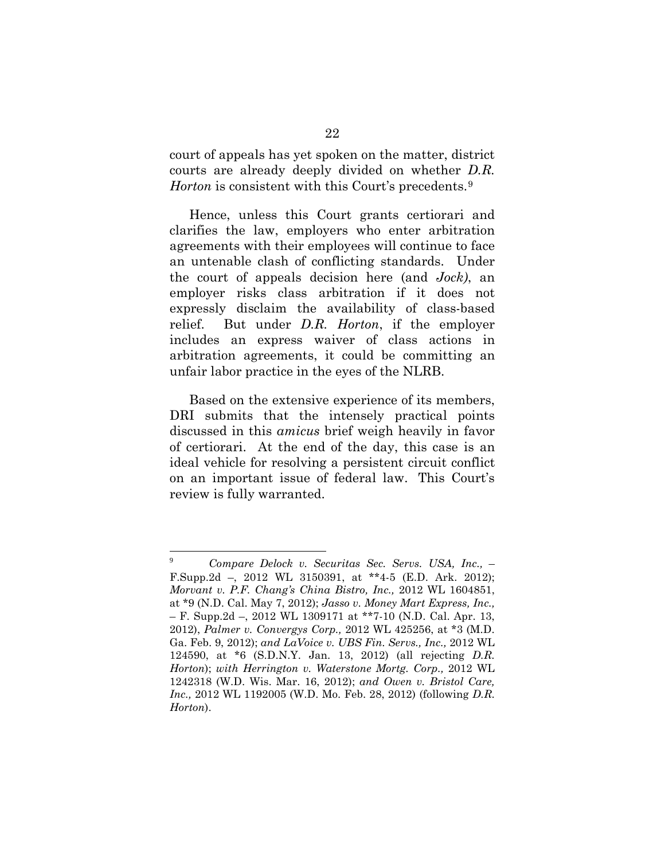court of appeals has yet spoken on the matter, district courts are already deeply divided on whether *D.R. Horton* is consistent with this Court's precedents.<sup>[9](#page-34-0)</sup>

Hence, unless this Court grants certiorari and clarifies the law, employers who enter arbitration agreements with their employees will continue to face an untenable clash of conflicting standards. Under the court of appeals decision here (and *Jock)*, an employer risks class arbitration if it does not expressly disclaim the availability of class-based relief. But under *D.R. Horton*, if the employer includes an express waiver of class actions in arbitration agreements, it could be committing an unfair labor practice in the eyes of the NLRB.

Based on the extensive experience of its members, DRI submits that the intensely practical points discussed in this *amicus* brief weigh heavily in favor of certiorari. At the end of the day, this case is an ideal vehicle for resolving a persistent circuit conflict on an important issue of federal law. This Court's review is fully warranted.

<span id="page-34-0"></span> $\boldsymbol{9}$ <sup>9</sup> *Compare Delock v. Securitas Sec. Servs. USA, Inc.,* – F.Supp.2d –, 2012 WL 3150391, at \*\*4-5 (E.D. Ark. 2012); *[Morvant v. P.F. Chang's China Bistro, Inc.,](https://web2.westlaw.com/find/default.wl?mt=Westlaw&db=0000999&tc=-1&rp=%2ffind%2fdefault.wl&findtype=Y&ordoc=2027731736&serialnum=2027657938&vr=2.0&fn=_top&sv=Split&tf=-1&pbc=1DA1C555&rs=WLW12.07)* 2012 WL 1604851, [at \\*9 \(N.D. Cal. May 7, 2012\);](https://web2.westlaw.com/find/default.wl?mt=Westlaw&db=0000999&tc=-1&rp=%2ffind%2fdefault.wl&findtype=Y&ordoc=2027731736&serialnum=2027657938&vr=2.0&fn=_top&sv=Split&tf=-1&pbc=1DA1C555&rs=WLW12.07) *Jasso v. Money Mart Express, Inc.,* – F. Supp.2d –, 2012 WL 1309171 at \*\*7-10 (N.D. Cal. Apr. 13, 2012), *[Palmer v. Convergys Corp.,](https://web2.westlaw.com/find/default.wl?mt=Westlaw&db=0000999&tc=-1&rp=%2ffind%2fdefault.wl&findtype=Y&ordoc=2027731736&serialnum=2027078422&vr=2.0&fn=_top&sv=Split&tf=-1&pbc=1DA1C555&rs=WLW12.07)* 2012 WL 425256, at \*3 (M.D. [Ga. Feb. 9, 2012\);](https://web2.westlaw.com/find/default.wl?mt=Westlaw&db=0000999&tc=-1&rp=%2ffind%2fdefault.wl&findtype=Y&ordoc=2027731736&serialnum=2027078422&vr=2.0&fn=_top&sv=Split&tf=-1&pbc=1DA1C555&rs=WLW12.07) *and [LaVoice v. UBS Fin. Servs., Inc.,](https://web2.westlaw.com/find/default.wl?mt=Westlaw&db=0000999&tc=-1&rp=%2ffind%2fdefault.wl&findtype=Y&ordoc=2027731736&serialnum=2026876893&vr=2.0&fn=_top&sv=Split&tf=-1&pbc=1DA1C555&rs=WLW12.07)* 2012 WL [124590, at \\*6 \(S.D.N.Y. Jan. 13, 2012\)](https://web2.westlaw.com/find/default.wl?mt=Westlaw&db=0000999&tc=-1&rp=%2ffind%2fdefault.wl&findtype=Y&ordoc=2027731736&serialnum=2026876893&vr=2.0&fn=_top&sv=Split&tf=-1&pbc=1DA1C555&rs=WLW12.07) (all rejecting *D.R. Horton*); *with [Herrington v. Waterstone Mortg. Corp.,](https://web2.westlaw.com/find/default.wl?mt=Westlaw&db=0000999&tc=-1&rp=%2ffind%2fdefault.wl&findtype=Y&ordoc=2028343517&serialnum=2027498629&vr=2.0&fn=_top&sv=Split&tf=-1&pbc=A7477545&rs=WLW12.07)* 2012 WL [1242318 \(W.D. Wis. Mar. 16, 2012\);](https://web2.westlaw.com/find/default.wl?mt=Westlaw&db=0000999&tc=-1&rp=%2ffind%2fdefault.wl&findtype=Y&ordoc=2028343517&serialnum=2027498629&vr=2.0&fn=_top&sv=Split&tf=-1&pbc=A7477545&rs=WLW12.07) *and [Owen v. Bristol Care,](https://web2.westlaw.com/find/default.wl?mt=Westlaw&db=0000999&tc=-1&rp=%2ffind%2fdefault.wl&findtype=Y&ordoc=2028343517&serialnum=2027481690&vr=2.0&fn=_top&sv=Split&tf=-1&pbc=A7477545&rs=WLW12.07)  Inc.,* [2012 WL 1192005 \(W.D. Mo. Feb. 28, 2012\)](https://web2.westlaw.com/find/default.wl?mt=Westlaw&db=0000999&tc=-1&rp=%2ffind%2fdefault.wl&findtype=Y&ordoc=2028343517&serialnum=2027481690&vr=2.0&fn=_top&sv=Split&tf=-1&pbc=A7477545&rs=WLW12.07) (following *D.R. Horton*).